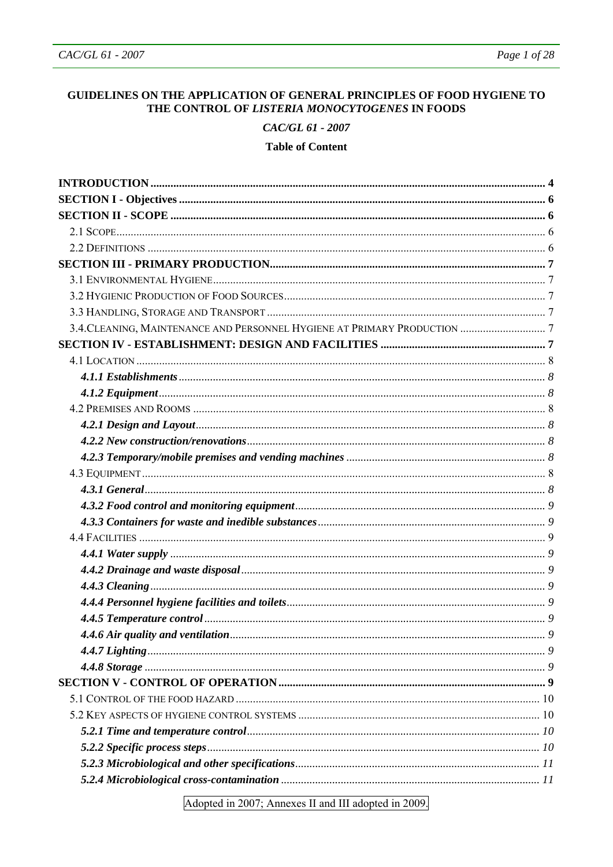## GUIDELINES ON THE APPLICATION OF GENERAL PRINCIPLES OF FOOD HYGIENE TO THE CONTROL OF LISTERIA MONOCYTOGENES IN FOODS

### CAC/GL 61 - 2007

### **Table of Content**

Adopted in 2007; Annexes II and III adopted in 2009.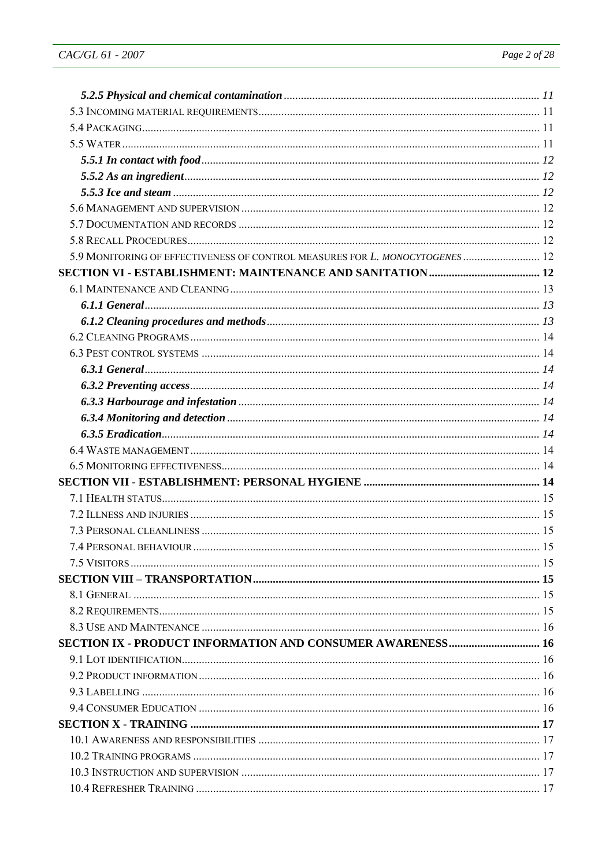| 5.9 MONITORING OF EFFECTIVENESS OF CONTROL MEASURES FOR L. MONOCYTOGENES  12 |  |
|------------------------------------------------------------------------------|--|
|                                                                              |  |
|                                                                              |  |
|                                                                              |  |
|                                                                              |  |
|                                                                              |  |
|                                                                              |  |
|                                                                              |  |
|                                                                              |  |
|                                                                              |  |
|                                                                              |  |
|                                                                              |  |
|                                                                              |  |
|                                                                              |  |
|                                                                              |  |
|                                                                              |  |
|                                                                              |  |
|                                                                              |  |
|                                                                              |  |
|                                                                              |  |
|                                                                              |  |
|                                                                              |  |
|                                                                              |  |
|                                                                              |  |
| <b>SECTION IX - PRODUCT INFORMATION AND CONSUMER AWARENESS 16</b>            |  |
|                                                                              |  |
|                                                                              |  |
|                                                                              |  |
|                                                                              |  |
|                                                                              |  |
|                                                                              |  |
|                                                                              |  |
|                                                                              |  |
|                                                                              |  |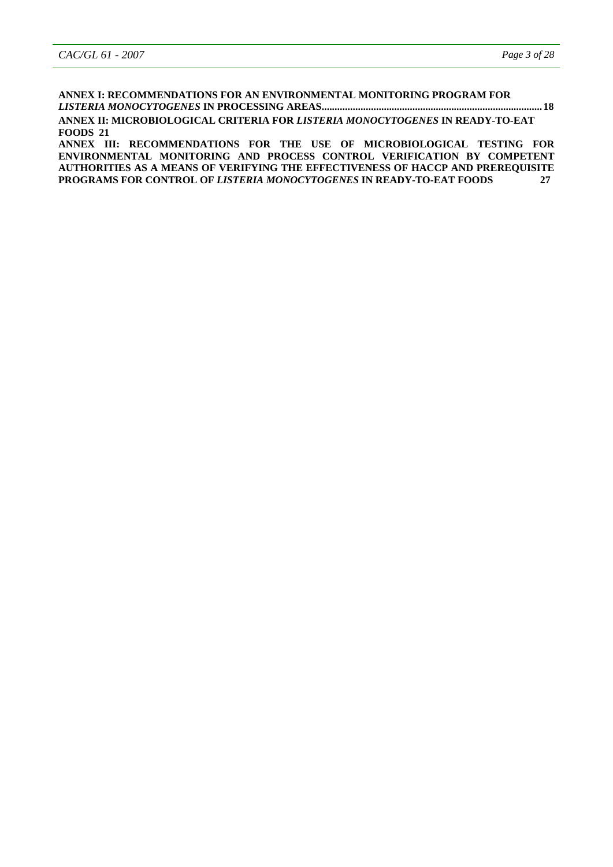**ANNEX I: RECOMMENDATIONS FOR AN ENVIRONMENTAL MONITORING PROGRAM FOR**  *LISTERIA MONOCYTOGENES* **IN PROCESSING AREAS..................................................................................... 18 ANNEX II: MICROBIOLOGICAL CRITERIA FOR** *LISTERIA MONOCYTOGENES* **IN READY-TO-EAT FOODS 21** 

**ANNEX III: RECOMMENDATIONS FOR THE USE OF MICROBIOLOGICAL TESTING FOR ENVIRONMENTAL MONITORING AND PROCESS CONTROL VERIFICATION BY COMPETENT AUTHORITIES AS A MEANS OF VERIFYING THE EFFECTIVENESS OF HACCP AND PREREQUISITE PROGRAMS FOR CONTROL OF** *LISTERIA MONOCYTOGENES* **IN READY-TO-EAT FOODS 27**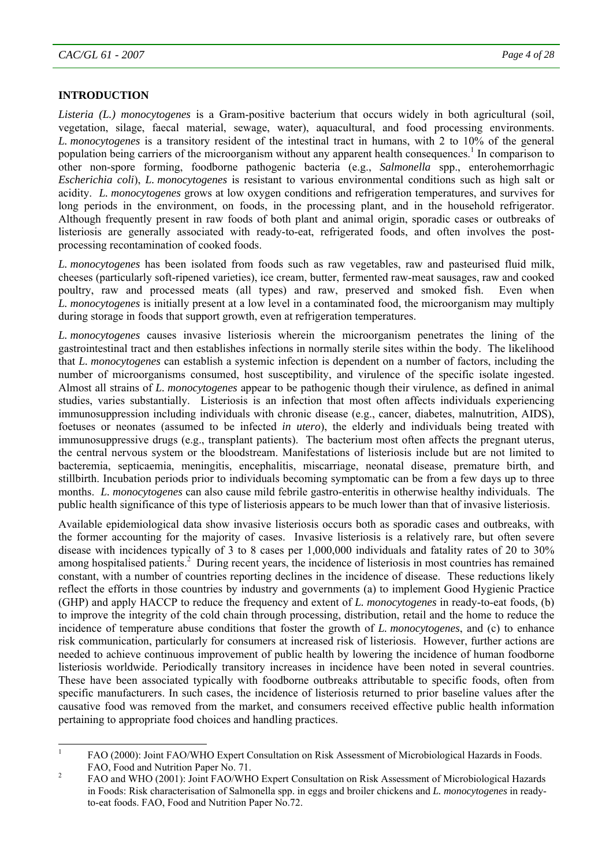## **INTRODUCTION**

*Listeria (L.) monocytogenes* is a Gram-positive bacterium that occurs widely in both agricultural (soil, vegetation, silage, faecal material, sewage, water), aquacultural, and food processing environments. *L. monocytogenes* is a transitory resident of the intestinal tract in humans, with 2 to 10% of the general population being carriers of the microorganism without any apparent health consequences.<sup>1</sup> In comparison to other non-spore forming, foodborne pathogenic bacteria (e.g., *Salmonella* spp., enterohemorrhagic *Escherichia coli*), *L. monocytogenes* is resistant to various environmental conditions such as high salt or acidity. *L. monocytogenes* grows at low oxygen conditions and refrigeration temperatures, and survives for long periods in the environment, on foods, in the processing plant, and in the household refrigerator. Although frequently present in raw foods of both plant and animal origin, sporadic cases or outbreaks of listeriosis are generally associated with ready-to-eat, refrigerated foods, and often involves the postprocessing recontamination of cooked foods.

*L. monocytogenes* has been isolated from foods such as raw vegetables, raw and pasteurised fluid milk, cheeses (particularly soft-ripened varieties), ice cream, butter, fermented raw-meat sausages, raw and cooked poultry, raw and processed meats (all types) and raw, preserved and smoked fish. Even when *L. monocytogenes* is initially present at a low level in a contaminated food, the microorganism may multiply during storage in foods that support growth, even at refrigeration temperatures.

*L. monocytogenes* causes invasive listeriosis wherein the microorganism penetrates the lining of the gastrointestinal tract and then establishes infections in normally sterile sites within the body. The likelihood that *L. monocytogenes* can establish a systemic infection is dependent on a number of factors, including the number of microorganisms consumed, host susceptibility, and virulence of the specific isolate ingested. Almost all strains of *L. monocytogenes* appear to be pathogenic though their virulence, as defined in animal studies, varies substantially. Listeriosis is an infection that most often affects individuals experiencing immunosuppression including individuals with chronic disease (e.g., cancer, diabetes, malnutrition, AIDS), foetuses or neonates (assumed to be infected *in utero*), the elderly and individuals being treated with immunosuppressive drugs (e.g., transplant patients). The bacterium most often affects the pregnant uterus, the central nervous system or the bloodstream. Manifestations of listeriosis include but are not limited to bacteremia, septicaemia, meningitis, encephalitis, miscarriage, neonatal disease, premature birth, and stillbirth. Incubation periods prior to individuals becoming symptomatic can be from a few days up to three months. *L. monocytogenes* can also cause mild febrile gastro-enteritis in otherwise healthy individuals. The public health significance of this type of listeriosis appears to be much lower than that of invasive listeriosis.

Available epidemiological data show invasive listeriosis occurs both as sporadic cases and outbreaks, with the former accounting for the majority of cases. Invasive listeriosis is a relatively rare, but often severe disease with incidences typically of 3 to 8 cases per 1,000,000 individuals and fatality rates of 20 to 30% among hospitalised patients.<sup>2</sup> During recent years, the incidence of listeriosis in most countries has remained constant, with a number of countries reporting declines in the incidence of disease. These reductions likely reflect the efforts in those countries by industry and governments (a) to implement Good Hygienic Practice (GHP) and apply HACCP to reduce the frequency and extent of *L. monocytogenes* in ready-to-eat foods, (b) to improve the integrity of the cold chain through processing, distribution, retail and the home to reduce the incidence of temperature abuse conditions that foster the growth of *L. monocytogenes*, and (c) to enhance risk communication, particularly for consumers at increased risk of listeriosis. However, further actions are needed to achieve continuous improvement of public health by lowering the incidence of human foodborne listeriosis worldwide. Periodically transitory increases in incidence have been noted in several countries. These have been associated typically with foodborne outbreaks attributable to specific foods, often from specific manufacturers. In such cases, the incidence of listeriosis returned to prior baseline values after the causative food was removed from the market, and consumers received effective public health information pertaining to appropriate food choices and handling practices.

 $\frac{1}{1}$  FAO (2000): Joint FAO/WHO Expert Consultation on Risk Assessment of Microbiological Hazards in Foods. FAO, Food and Nutrition Paper No. 71.

FAO and WHO (2001): Joint FAO/WHO Expert Consultation on Risk Assessment of Microbiological Hazards in Foods: Risk characterisation of Salmonella spp. in eggs and broiler chickens and *L. monocytogenes* in readyto-eat foods. FAO, Food and Nutrition Paper No.72.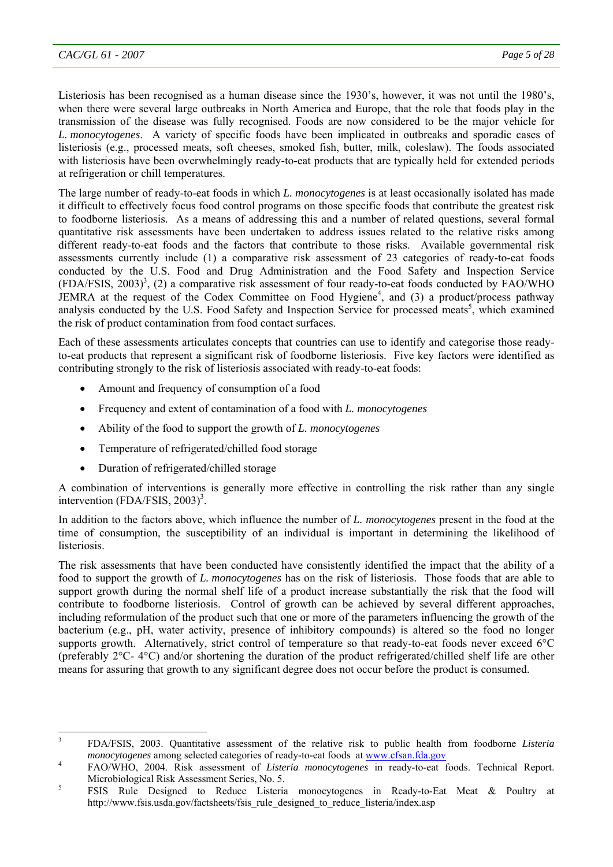Listeriosis has been recognised as a human disease since the 1930's, however, it was not until the 1980's, when there were several large outbreaks in North America and Europe, that the role that foods play in the transmission of the disease was fully recognised. Foods are now considered to be the major vehicle for *L. monocytogenes*. A variety of specific foods have been implicated in outbreaks and sporadic cases of listeriosis (e.g., processed meats, soft cheeses, smoked fish, butter, milk, coleslaw). The foods associated with listeriosis have been overwhelmingly ready-to-eat products that are typically held for extended periods at refrigeration or chill temperatures.

The large number of ready-to-eat foods in which *L. monocytogenes* is at least occasionally isolated has made it difficult to effectively focus food control programs on those specific foods that contribute the greatest risk to foodborne listeriosis. As a means of addressing this and a number of related questions, several formal quantitative risk assessments have been undertaken to address issues related to the relative risks among different ready-to-eat foods and the factors that contribute to those risks. Available governmental risk assessments currently include (1) a comparative risk assessment of 23 categories of ready-to-eat foods conducted by the U.S. Food and Drug Administration and the Food Safety and Inspection Service  $(FDA/FSIS, 2003)^3$ , (2) a comparative risk assessment of four ready-to-eat foods conducted by FAO/WHO JEMRA at the request of the Codex Committee on Food Hygiene<sup>4</sup>, and (3) a product/process pathway analysis conducted by the U.S. Food Safety and Inspection Service for processed meats<sup>5</sup>, which examined the risk of product contamination from food contact surfaces.

Each of these assessments articulates concepts that countries can use to identify and categorise those readyto-eat products that represent a significant risk of foodborne listeriosis. Five key factors were identified as contributing strongly to the risk of listeriosis associated with ready-to-eat foods:

- Amount and frequency of consumption of a food
- Frequency and extent of contamination of a food with *L. monocytogenes*
- Ability of the food to support the growth of *L. monocytogenes*
- Temperature of refrigerated/chilled food storage
- Duration of refrigerated/chilled storage

A combination of interventions is generally more effective in controlling the risk rather than any single intervention  $(FDA/FSIS, 2003)^3$ .

In addition to the factors above, which influence the number of *L. monocytogenes* present in the food at the time of consumption, the susceptibility of an individual is important in determining the likelihood of listeriosis.

The risk assessments that have been conducted have consistently identified the impact that the ability of a food to support the growth of *L. monocytogenes* has on the risk of listeriosis. Those foods that are able to support growth during the normal shelf life of a product increase substantially the risk that the food will contribute to foodborne listeriosis. Control of growth can be achieved by several different approaches, including reformulation of the product such that one or more of the parameters influencing the growth of the bacterium (e.g., pH, water activity, presence of inhibitory compounds) is altered so the food no longer supports growth. Alternatively, strict control of temperature so that ready-to-eat foods never exceed 6°C (preferably 2°C- 4°C) and/or shortening the duration of the product refrigerated/chilled shelf life are other means for assuring that growth to any significant degree does not occur before the product is consumed.

<sup>&</sup>lt;sup>2</sup><br>3 FDA/FSIS, 2003. Quantitative assessment of the relative risk to public health from foodborne *Listeria monocytogenes* among selected categories of ready-to-eat foods at www.cfsan.fda.gov

FAO/WHO, 2004. Risk assessment of *Listeria monocytogenes* in ready-to-eat foods. Technical Report. Microbiological Risk Assessment Series, No. 5.

FSIS Rule Designed to Reduce Listeria monocytogenes in Ready-to-Eat Meat & Poultry at http://www.fsis.usda.gov/factsheets/fsis\_rule\_designed\_to\_reduce\_listeria/index.asp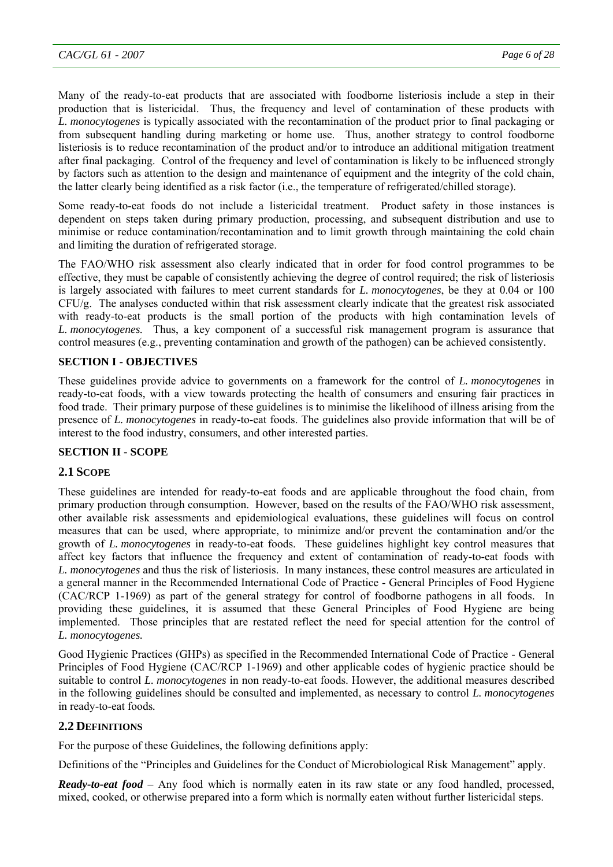Many of the ready-to-eat products that are associated with foodborne listeriosis include a step in their production that is listericidal. Thus, the frequency and level of contamination of these products with *L. monocytogenes* is typically associated with the recontamination of the product prior to final packaging or from subsequent handling during marketing or home use. Thus, another strategy to control foodborne listeriosis is to reduce recontamination of the product and/or to introduce an additional mitigation treatment after final packaging. Control of the frequency and level of contamination is likely to be influenced strongly by factors such as attention to the design and maintenance of equipment and the integrity of the cold chain, the latter clearly being identified as a risk factor (i.e., the temperature of refrigerated/chilled storage).

Some ready-to-eat foods do not include a listericidal treatment. Product safety in those instances is dependent on steps taken during primary production, processing, and subsequent distribution and use to minimise or reduce contamination/recontamination and to limit growth through maintaining the cold chain and limiting the duration of refrigerated storage.

The FAO/WHO risk assessment also clearly indicated that in order for food control programmes to be effective, they must be capable of consistently achieving the degree of control required; the risk of listeriosis is largely associated with failures to meet current standards for *L. monocytogenes*, be they at 0.04 or 100 CFU/g. The analyses conducted within that risk assessment clearly indicate that the greatest risk associated with ready-to-eat products is the small portion of the products with high contamination levels of *L. monocytogenes.* Thus, a key component of a successful risk management program is assurance that control measures (e.g., preventing contamination and growth of the pathogen) can be achieved consistently.

# **SECTION I - OBJECTIVES**

These guidelines provide advice to governments on a framework for the control of *L. monocytogenes* in ready-to-eat foods, with a view towards protecting the health of consumers and ensuring fair practices in food trade. Their primary purpose of these guidelines is to minimise the likelihood of illness arising from the presence of *L. monocytogenes* in ready-to-eat foods. The guidelines also provide information that will be of interest to the food industry, consumers, and other interested parties.

# **SECTION II - SCOPE**

# **2.1 SCOPE**

These guidelines are intended for ready-to-eat foods and are applicable throughout the food chain, from primary production through consumption. However, based on the results of the FAO/WHO risk assessment, other available risk assessments and epidemiological evaluations, these guidelines will focus on control measures that can be used, where appropriate, to minimize and/or prevent the contamination and/or the growth of *L. monocytogenes* in ready-to-eat foods. These guidelines highlight key control measures that affect key factors that influence the frequency and extent of contamination of ready-to-eat foods with *L. monocytogenes* and thus the risk of listeriosis. In many instances, these control measures are articulated in a general manner in the Recommended International Code of Practice - General Principles of Food Hygiene (CAC/RCP 1-1969) as part of the general strategy for control of foodborne pathogens in all foods. In providing these guidelines, it is assumed that these General Principles of Food Hygiene are being implemented. Those principles that are restated reflect the need for special attention for the control of *L. monocytogenes.* 

Good Hygienic Practices (GHPs) as specified in the Recommended International Code of Practice - General Principles of Food Hygiene (CAC/RCP 1-1969) and other applicable codes of hygienic practice should be suitable to control *L. monocytogenes* in non ready-to-eat foods. However, the additional measures described in the following guidelines should be consulted and implemented, as necessary to control *L. monocytogenes* in ready-to-eat foods*.*

# **2.2 DEFINITIONS**

For the purpose of these Guidelines, the following definitions apply:

Definitions of the "Principles and Guidelines for the Conduct of Microbiological Risk Management" apply.

*Ready-to-eat food* – Any food which is normally eaten in its raw state or any food handled, processed, mixed, cooked, or otherwise prepared into a form which is normally eaten without further listericidal steps.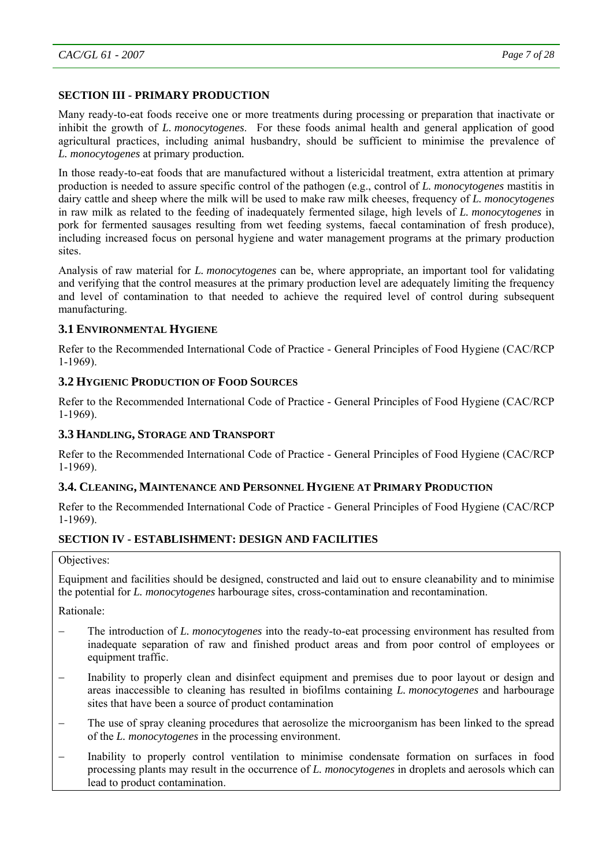## **SECTION III - PRIMARY PRODUCTION**

Many ready-to-eat foods receive one or more treatments during processing or preparation that inactivate or inhibit the growth of *L. monocytogenes*. For these foods animal health and general application of good agricultural practices, including animal husbandry, should be sufficient to minimise the prevalence of *L. monocytogenes* at primary production*.*

In those ready-to-eat foods that are manufactured without a listericidal treatment, extra attention at primary production is needed to assure specific control of the pathogen (e.g., control of *L. monocytogenes* mastitis in dairy cattle and sheep where the milk will be used to make raw milk cheeses, frequency of *L. monocytogenes* in raw milk as related to the feeding of inadequately fermented silage, high levels of *L. monocytogenes* in pork for fermented sausages resulting from wet feeding systems, faecal contamination of fresh produce), including increased focus on personal hygiene and water management programs at the primary production sites.

Analysis of raw material for *L. monocytogenes* can be, where appropriate, an important tool for validating and verifying that the control measures at the primary production level are adequately limiting the frequency and level of contamination to that needed to achieve the required level of control during subsequent manufacturing.

#### **3.1 ENVIRONMENTAL HYGIENE**

Refer to the Recommended International Code of Practice - General Principles of Food Hygiene (CAC/RCP 1-1969).

## **3.2 HYGIENIC PRODUCTION OF FOOD SOURCES**

Refer to the Recommended International Code of Practice - General Principles of Food Hygiene (CAC/RCP 1-1969).

### **3.3 HANDLING, STORAGE AND TRANSPORT**

Refer to the Recommended International Code of Practice - General Principles of Food Hygiene (CAC/RCP 1-1969).

# **3.4. CLEANING, MAINTENANCE AND PERSONNEL HYGIENE AT PRIMARY PRODUCTION**

Refer to the Recommended International Code of Practice - General Principles of Food Hygiene (CAC/RCP 1-1969).

# **SECTION IV - ESTABLISHMENT: DESIGN AND FACILITIES**

#### Objectives:

Equipment and facilities should be designed, constructed and laid out to ensure cleanability and to minimise the potential for *L. monocytogenes* harbourage sites, cross-contamination and recontamination.

Rationale:

- The introduction of *L. monocytogenes* into the ready-to-eat processing environment has resulted from inadequate separation of raw and finished product areas and from poor control of employees or equipment traffic.
- Inability to properly clean and disinfect equipment and premises due to poor layout or design and areas inaccessible to cleaning has resulted in biofilms containing *L. monocytogenes* and harbourage sites that have been a source of product contamination
- The use of spray cleaning procedures that aerosolize the microorganism has been linked to the spread of the *L. monocytogenes* in the processing environment.
- Inability to properly control ventilation to minimise condensate formation on surfaces in food processing plants may result in the occurrence of *L. monocytogenes* in droplets and aerosols which can lead to product contamination.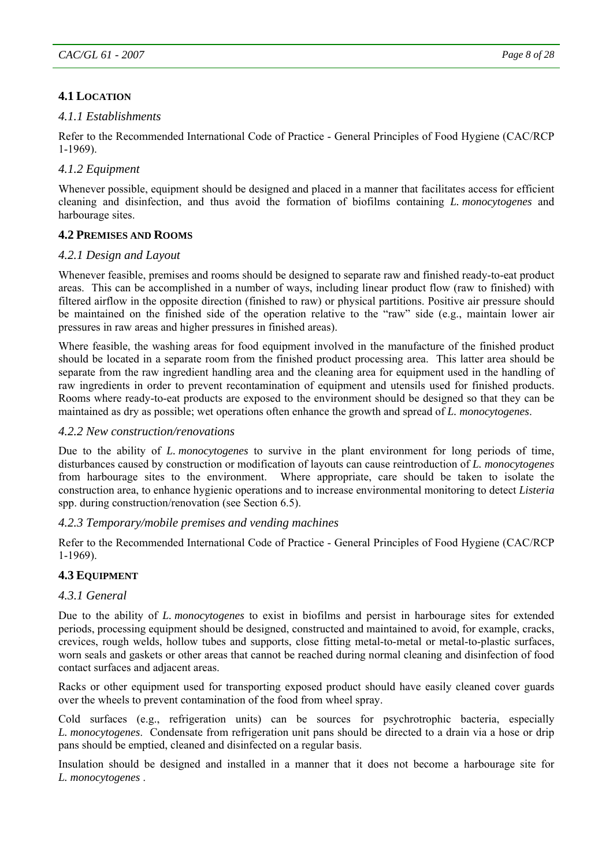# **4.1 LOCATION**

# *4.1.1 Establishments*

Refer to the Recommended International Code of Practice - General Principles of Food Hygiene (CAC/RCP 1-1969).

# *4.1.2 Equipment*

Whenever possible, equipment should be designed and placed in a manner that facilitates access for efficient cleaning and disinfection, and thus avoid the formation of biofilms containing *L. monocytogenes* and harbourage sites.

## **4.2 PREMISES AND ROOMS**

# *4.2.1 Design and Layout*

Whenever feasible, premises and rooms should be designed to separate raw and finished ready-to-eat product areas. This can be accomplished in a number of ways, including linear product flow (raw to finished) with filtered airflow in the opposite direction (finished to raw) or physical partitions. Positive air pressure should be maintained on the finished side of the operation relative to the "raw" side (e.g., maintain lower air pressures in raw areas and higher pressures in finished areas).

Where feasible, the washing areas for food equipment involved in the manufacture of the finished product should be located in a separate room from the finished product processing area. This latter area should be separate from the raw ingredient handling area and the cleaning area for equipment used in the handling of raw ingredients in order to prevent recontamination of equipment and utensils used for finished products. Rooms where ready-to-eat products are exposed to the environment should be designed so that they can be maintained as dry as possible; wet operations often enhance the growth and spread of *L. monocytogenes*.

## *4.2.2 New construction/renovations*

Due to the ability of *L. monocytogenes* to survive in the plant environment for long periods of time, disturbances caused by construction or modification of layouts can cause reintroduction of *L. monocytogenes* from harbourage sites to the environment. Where appropriate, care should be taken to isolate the construction area, to enhance hygienic operations and to increase environmental monitoring to detect *Listeria* spp. during construction/renovation (see Section 6.5).

# *4.2.3 Temporary/mobile premises and vending machines*

Refer to the Recommended International Code of Practice - General Principles of Food Hygiene (CAC/RCP 1-1969).

# **4.3 EQUIPMENT**

# *4.3.1 General*

Due to the ability of *L. monocytogenes* to exist in biofilms and persist in harbourage sites for extended periods, processing equipment should be designed, constructed and maintained to avoid, for example, cracks, crevices, rough welds, hollow tubes and supports, close fitting metal-to-metal or metal-to-plastic surfaces, worn seals and gaskets or other areas that cannot be reached during normal cleaning and disinfection of food contact surfaces and adjacent areas.

Racks or other equipment used for transporting exposed product should have easily cleaned cover guards over the wheels to prevent contamination of the food from wheel spray.

Cold surfaces (e.g., refrigeration units) can be sources for psychrotrophic bacteria, especially *L. monocytogenes*. Condensate from refrigeration unit pans should be directed to a drain via a hose or drip pans should be emptied, cleaned and disinfected on a regular basis.

Insulation should be designed and installed in a manner that it does not become a harbourage site for *L. monocytogenes* .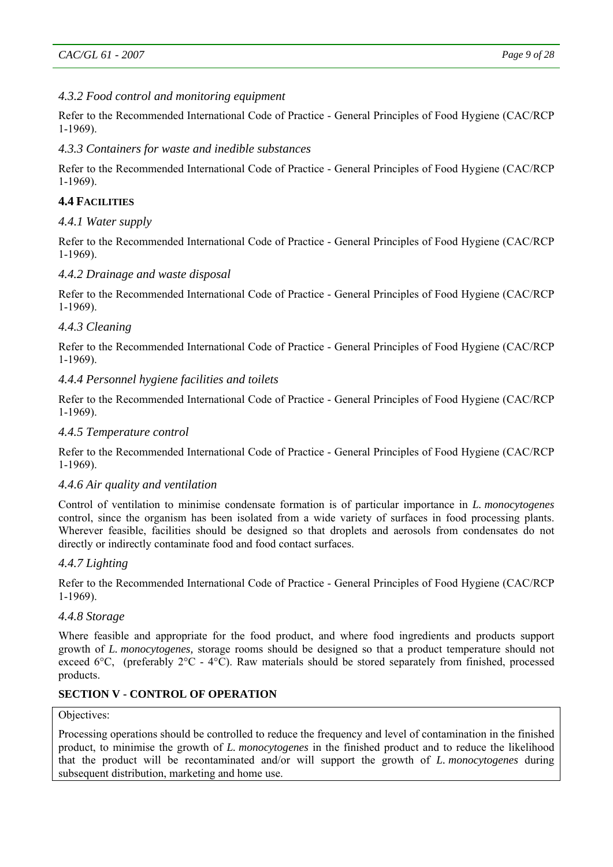# *4.3.2 Food control and monitoring equipment*

Refer to the Recommended International Code of Practice - General Principles of Food Hygiene (CAC/RCP 1-1969).

# *4.3.3 Containers for waste and inedible substances*

Refer to the Recommended International Code of Practice - General Principles of Food Hygiene (CAC/RCP 1-1969).

# **4.4 FACILITIES**

# *4.4.1 Water supply*

Refer to the Recommended International Code of Practice - General Principles of Food Hygiene (CAC/RCP 1-1969).

# *4.4.2 Drainage and waste disposal*

Refer to the Recommended International Code of Practice - General Principles of Food Hygiene (CAC/RCP 1-1969).

# *4.4.3 Cleaning*

Refer to the Recommended International Code of Practice - General Principles of Food Hygiene (CAC/RCP 1-1969).

# *4.4.4 Personnel hygiene facilities and toilets*

Refer to the Recommended International Code of Practice - General Principles of Food Hygiene (CAC/RCP 1-1969).

### *4.4.5 Temperature control*

Refer to the Recommended International Code of Practice - General Principles of Food Hygiene (CAC/RCP 1-1969).

# *4.4.6 Air quality and ventilation*

Control of ventilation to minimise condensate formation is of particular importance in *L. monocytogenes* control, since the organism has been isolated from a wide variety of surfaces in food processing plants. Wherever feasible, facilities should be designed so that droplets and aerosols from condensates do not directly or indirectly contaminate food and food contact surfaces.

# *4.4.7 Lighting*

Refer to the Recommended International Code of Practice - General Principles of Food Hygiene (CAC/RCP 1-1969).

### *4.4.8 Storage*

Where feasible and appropriate for the food product, and where food ingredients and products support growth of *L. monocytogenes,* storage rooms should be designed so that a product temperature should not exceed 6°C, (preferably 2°C - 4°C). Raw materials should be stored separately from finished, processed products.

# **SECTION V - CONTROL OF OPERATION**

#### Objectives:

Processing operations should be controlled to reduce the frequency and level of contamination in the finished product, to minimise the growth of *L. monocytogenes* in the finished product and to reduce the likelihood that the product will be recontaminated and/or will support the growth of *L. monocytogenes* during subsequent distribution, marketing and home use.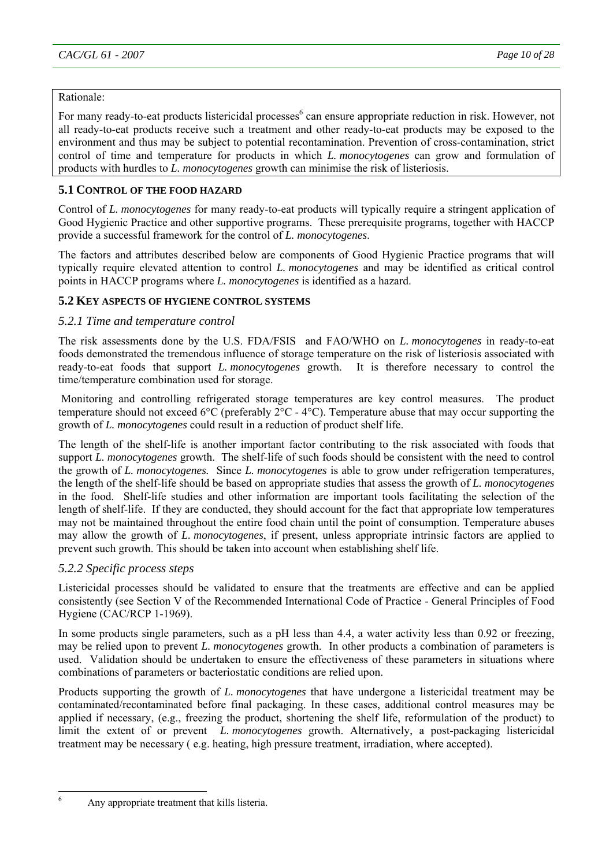# Rationale:

For many ready-to-eat products listericidal processes<sup>6</sup> can ensure appropriate reduction in risk. However, not all ready-to-eat products receive such a treatment and other ready-to-eat products may be exposed to the environment and thus may be subject to potential recontamination. Prevention of cross-contamination, strict control of time and temperature for products in which *L. monocytogenes* can grow and formulation of products with hurdles to *L. monocytogenes* growth can minimise the risk of listeriosis.

# **5.1 CONTROL OF THE FOOD HAZARD**

Control of *L. monocytogenes* for many ready-to-eat products will typically require a stringent application of Good Hygienic Practice and other supportive programs. These prerequisite programs, together with HACCP provide a successful framework for the control of *L. monocytogenes*.

The factors and attributes described below are components of Good Hygienic Practice programs that will typically require elevated attention to control *L. monocytogenes* and may be identified as critical control points in HACCP programs where *L. monocytogenes* is identified as a hazard.

# **5.2 KEY ASPECTS OF HYGIENE CONTROL SYSTEMS**

# *5.2.1 Time and temperature control*

The risk assessments done by the U.S. FDA/FSIS and FAO/WHO on *L. monocytogenes* in ready-to-eat foods demonstrated the tremendous influence of storage temperature on the risk of listeriosis associated with ready-to-eat foods that support *L. monocytogenes* growth. It is therefore necessary to control the time/temperature combination used for storage.

 Monitoring and controlling refrigerated storage temperatures are key control measures. The product temperature should not exceed 6°C (preferably 2°C - 4°C). Temperature abuse that may occur supporting the growth of *L. monocytogenes* could result in a reduction of product shelf life.

The length of the shelf-life is another important factor contributing to the risk associated with foods that support *L. monocytogenes* growth. The shelf-life of such foods should be consistent with the need to control the growth of *L. monocytogenes.* Since *L. monocytogenes* is able to grow under refrigeration temperatures, the length of the shelf-life should be based on appropriate studies that assess the growth of *L. monocytogenes* in the food. Shelf-life studies and other information are important tools facilitating the selection of the length of shelf-life. If they are conducted, they should account for the fact that appropriate low temperatures may not be maintained throughout the entire food chain until the point of consumption. Temperature abuses may allow the growth of *L. monocytogenes*, if present, unless appropriate intrinsic factors are applied to prevent such growth. This should be taken into account when establishing shelf life.

# *5.2.2 Specific process steps*

Listericidal processes should be validated to ensure that the treatments are effective and can be applied consistently (see Section V of the Recommended International Code of Practice - General Principles of Food Hygiene (CAC/RCP 1-1969).

In some products single parameters, such as a pH less than 4.4, a water activity less than 0.92 or freezing, may be relied upon to prevent *L. monocytogenes* growth. In other products a combination of parameters is used. Validation should be undertaken to ensure the effectiveness of these parameters in situations where combinations of parameters or bacteriostatic conditions are relied upon.

Products supporting the growth of *L. monocytogenes* that have undergone a listericidal treatment may be contaminated/recontaminated before final packaging. In these cases, additional control measures may be applied if necessary, (e.g., freezing the product, shortening the shelf life, reformulation of the product) to limit the extent of or prevent *L. monocytogenes* growth. Alternatively, a post-packaging listericidal treatment may be necessary ( e.g. heating, high pressure treatment, irradiation, where accepted).

6

Any appropriate treatment that kills listeria.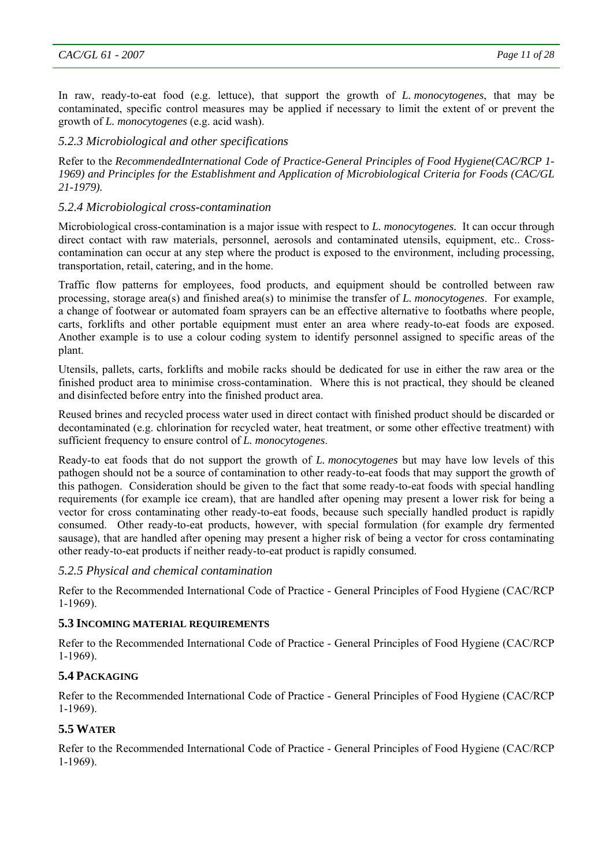In raw, ready-to-eat food (e.g. lettuce), that support the growth of *L. monocytogenes*, that may be contaminated, specific control measures may be applied if necessary to limit the extent of or prevent the growth of *L. monocytogenes* (e.g. acid wash).

# *5.2.3 Microbiological and other specifications*

Refer to the *RecommendedInternational Code of Practice-General Principles of Food Hygiene(CAC/RCP 1- 1969) and Principles for the Establishment and Application of Microbiological Criteria for Foods (CAC/GL 21-1979).* 

# *5.2.4 Microbiological cross-contamination*

Microbiological cross-contamination is a major issue with respect to *L. monocytogenes.* It can occur through direct contact with raw materials, personnel, aerosols and contaminated utensils, equipment, etc.. Crosscontamination can occur at any step where the product is exposed to the environment, including processing, transportation, retail, catering, and in the home.

Traffic flow patterns for employees, food products, and equipment should be controlled between raw processing, storage area(s) and finished area(s) to minimise the transfer of *L. monocytogenes*. For example, a change of footwear or automated foam sprayers can be an effective alternative to footbaths where people, carts, forklifts and other portable equipment must enter an area where ready-to-eat foods are exposed. Another example is to use a colour coding system to identify personnel assigned to specific areas of the plant.

Utensils, pallets, carts, forklifts and mobile racks should be dedicated for use in either the raw area or the finished product area to minimise cross-contamination. Where this is not practical, they should be cleaned and disinfected before entry into the finished product area.

Reused brines and recycled process water used in direct contact with finished product should be discarded or decontaminated (e.g. chlorination for recycled water, heat treatment, or some other effective treatment) with sufficient frequency to ensure control of *L. monocytogenes*.

Ready-to eat foods that do not support the growth of *L. monocytogenes* but may have low levels of this pathogen should not be a source of contamination to other ready-to-eat foods that may support the growth of this pathogen. Consideration should be given to the fact that some ready-to-eat foods with special handling requirements (for example ice cream), that are handled after opening may present a lower risk for being a vector for cross contaminating other ready-to-eat foods, because such specially handled product is rapidly consumed. Other ready-to-eat products, however, with special formulation (for example dry fermented sausage), that are handled after opening may present a higher risk of being a vector for cross contaminating other ready-to-eat products if neither ready-to-eat product is rapidly consumed.

# *5.2.5 Physical and chemical contamination*

Refer to the Recommended International Code of Practice - General Principles of Food Hygiene (CAC/RCP 1-1969).

# **5.3 INCOMING MATERIAL REQUIREMENTS**

Refer to the Recommended International Code of Practice - General Principles of Food Hygiene (CAC/RCP 1-1969).

# **5.4 PACKAGING**

Refer to the Recommended International Code of Practice - General Principles of Food Hygiene (CAC/RCP 1-1969).

# **5.5 WATER**

Refer to the Recommended International Code of Practice - General Principles of Food Hygiene (CAC/RCP 1-1969).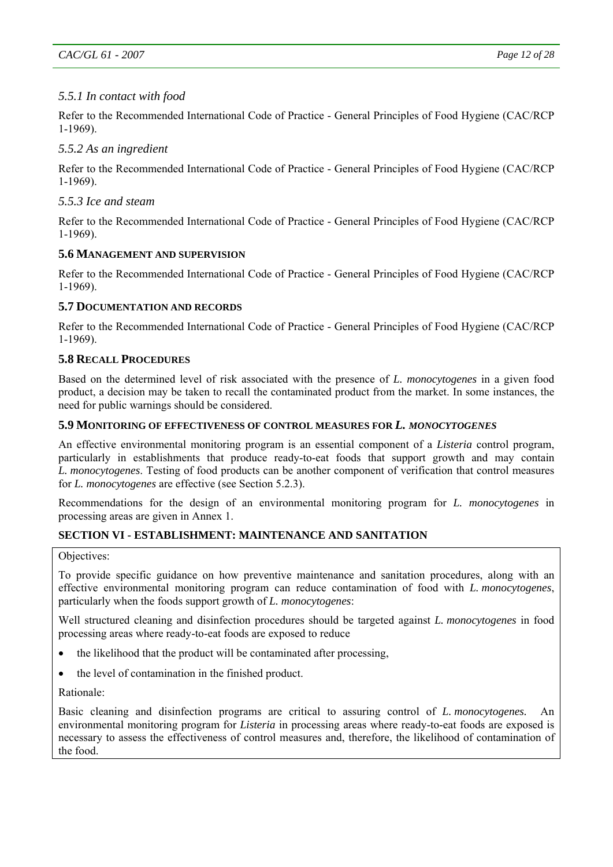# *5.5.1 In contact with food*

Refer to the Recommended International Code of Practice - General Principles of Food Hygiene (CAC/RCP 1-1969).

# *5.5.2 As an ingredient*

Refer to the Recommended International Code of Practice - General Principles of Food Hygiene (CAC/RCP 1-1969).

# *5.5.3 Ice and steam*

Refer to the Recommended International Code of Practice - General Principles of Food Hygiene (CAC/RCP 1-1969).

## **5.6 MANAGEMENT AND SUPERVISION**

Refer to the Recommended International Code of Practice - General Principles of Food Hygiene (CAC/RCP 1-1969).

## **5.7 DOCUMENTATION AND RECORDS**

Refer to the Recommended International Code of Practice - General Principles of Food Hygiene (CAC/RCP 1-1969).

# **5.8 RECALL PROCEDURES**

Based on the determined level of risk associated with the presence of *L. monocytogenes* in a given food product, a decision may be taken to recall the contaminated product from the market. In some instances, the need for public warnings should be considered.

## **5.9 MONITORING OF EFFECTIVENESS OF CONTROL MEASURES FOR** *L. MONOCYTOGENES*

An effective environmental monitoring program is an essential component of a *Listeria* control program, particularly in establishments that produce ready-to-eat foods that support growth and may contain *L. monocytogenes*. Testing of food products can be another component of verification that control measures for *L. monocytogenes* are effective (see Section 5.2.3).

Recommendations for the design of an environmental monitoring program for *L. monocytogenes* in processing areas are given in Annex 1.

# **SECTION VI - ESTABLISHMENT: MAINTENANCE AND SANITATION**

#### Objectives:

To provide specific guidance on how preventive maintenance and sanitation procedures, along with an effective environmental monitoring program can reduce contamination of food with *L. monocytogenes*, particularly when the foods support growth of *L. monocytogenes*:

Well structured cleaning and disinfection procedures should be targeted against *L. monocytogenes* in food processing areas where ready-to-eat foods are exposed to reduce

- the likelihood that the product will be contaminated after processing,
- the level of contamination in the finished product.

Rationale:

Basic cleaning and disinfection programs are critical to assuring control of *L. monocytogenes.* An environmental monitoring program for *Listeria* in processing areas where ready-to-eat foods are exposed is necessary to assess the effectiveness of control measures and, therefore, the likelihood of contamination of the food.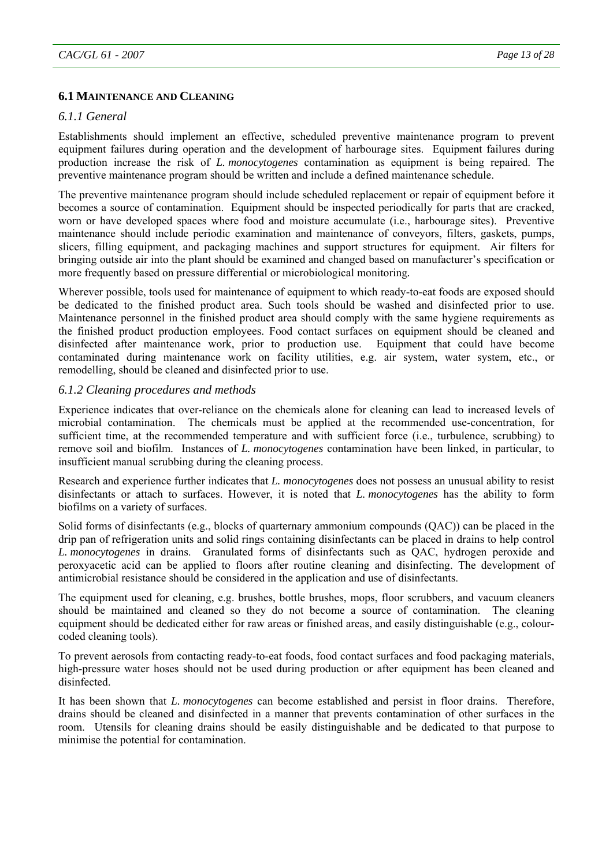### **6.1 MAINTENANCE AND CLEANING**

## *6.1.1 General*

Establishments should implement an effective, scheduled preventive maintenance program to prevent equipment failures during operation and the development of harbourage sites. Equipment failures during production increase the risk of *L. monocytogenes* contamination as equipment is being repaired. The preventive maintenance program should be written and include a defined maintenance schedule.

The preventive maintenance program should include scheduled replacement or repair of equipment before it becomes a source of contamination. Equipment should be inspected periodically for parts that are cracked, worn or have developed spaces where food and moisture accumulate (i.e., harbourage sites). Preventive maintenance should include periodic examination and maintenance of conveyors, filters, gaskets, pumps, slicers, filling equipment, and packaging machines and support structures for equipment. Air filters for bringing outside air into the plant should be examined and changed based on manufacturer's specification or more frequently based on pressure differential or microbiological monitoring*.* 

Wherever possible, tools used for maintenance of equipment to which ready-to-eat foods are exposed should be dedicated to the finished product area. Such tools should be washed and disinfected prior to use. Maintenance personnel in the finished product area should comply with the same hygiene requirements as the finished product production employees. Food contact surfaces on equipment should be cleaned and disinfected after maintenance work, prior to production use. Equipment that could have become contaminated during maintenance work on facility utilities, e.g. air system, water system, etc., or remodelling, should be cleaned and disinfected prior to use.

## *6.1.2 Cleaning procedures and methods*

Experience indicates that over-reliance on the chemicals alone for cleaning can lead to increased levels of microbial contamination. The chemicals must be applied at the recommended use-concentration, for sufficient time, at the recommended temperature and with sufficient force (i.e., turbulence, scrubbing) to remove soil and biofilm. Instances of *L. monocytogenes* contamination have been linked, in particular, to insufficient manual scrubbing during the cleaning process.

Research and experience further indicates that *L. monocytogenes* does not possess an unusual ability to resist disinfectants or attach to surfaces. However, it is noted that *L. monocytogenes* has the ability to form biofilms on a variety of surfaces.

Solid forms of disinfectants (e.g., blocks of quarternary ammonium compounds (QAC)) can be placed in the drip pan of refrigeration units and solid rings containing disinfectants can be placed in drains to help control *L. monocytogenes* in drains. Granulated forms of disinfectants such as QAC, hydrogen peroxide and peroxyacetic acid can be applied to floors after routine cleaning and disinfecting. The development of antimicrobial resistance should be considered in the application and use of disinfectants.

The equipment used for cleaning, e.g. brushes, bottle brushes, mops, floor scrubbers, and vacuum cleaners should be maintained and cleaned so they do not become a source of contamination. The cleaning equipment should be dedicated either for raw areas or finished areas, and easily distinguishable (e.g., colourcoded cleaning tools).

To prevent aerosols from contacting ready-to-eat foods, food contact surfaces and food packaging materials, high-pressure water hoses should not be used during production or after equipment has been cleaned and disinfected.

It has been shown that *L. monocytogenes* can become established and persist in floor drains. Therefore, drains should be cleaned and disinfected in a manner that prevents contamination of other surfaces in the room. Utensils for cleaning drains should be easily distinguishable and be dedicated to that purpose to minimise the potential for contamination.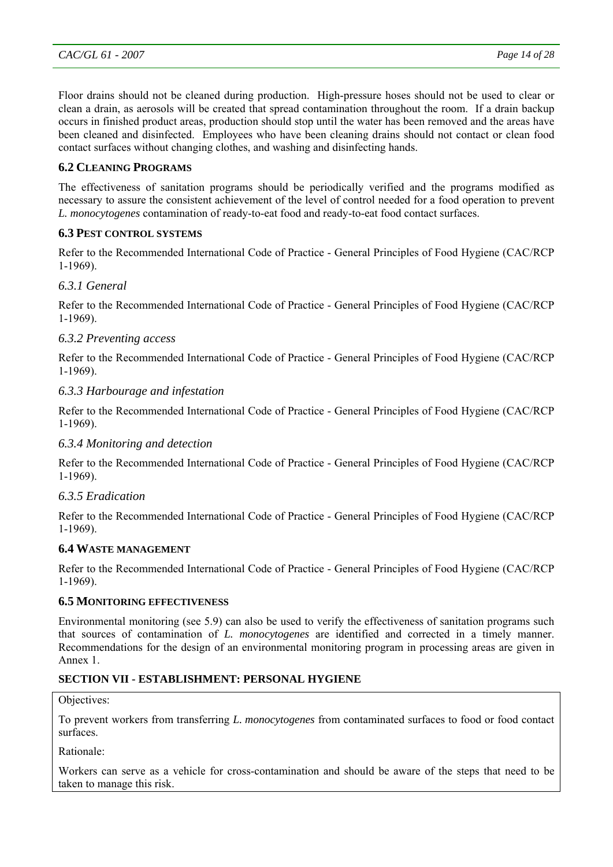Floor drains should not be cleaned during production. High-pressure hoses should not be used to clear or clean a drain, as aerosols will be created that spread contamination throughout the room. If a drain backup occurs in finished product areas, production should stop until the water has been removed and the areas have been cleaned and disinfected. Employees who have been cleaning drains should not contact or clean food contact surfaces without changing clothes, and washing and disinfecting hands.

# **6.2 CLEANING PROGRAMS**

The effectiveness of sanitation programs should be periodically verified and the programs modified as necessary to assure the consistent achievement of the level of control needed for a food operation to prevent *L. monocytogenes* contamination of ready-to-eat food and ready-to-eat food contact surfaces.

# **6.3 PEST CONTROL SYSTEMS**

Refer to the Recommended International Code of Practice - General Principles of Food Hygiene (CAC/RCP 1-1969).

# *6.3.1 General*

Refer to the Recommended International Code of Practice - General Principles of Food Hygiene (CAC/RCP 1-1969).

# *6.3.2 Preventing access*

Refer to the Recommended International Code of Practice - General Principles of Food Hygiene (CAC/RCP 1-1969).

## *6.3.3 Harbourage and infestation*

Refer to the Recommended International Code of Practice - General Principles of Food Hygiene (CAC/RCP 1-1969).

#### *6.3.4 Monitoring and detection*

Refer to the Recommended International Code of Practice - General Principles of Food Hygiene (CAC/RCP 1-1969).

#### *6.3.5 Eradication*

Refer to the Recommended International Code of Practice - General Principles of Food Hygiene (CAC/RCP 1-1969).

#### **6.4 WASTE MANAGEMENT**

Refer to the Recommended International Code of Practice - General Principles of Food Hygiene (CAC/RCP 1-1969).

#### **6.5 MONITORING EFFECTIVENESS**

Environmental monitoring (see 5.9) can also be used to verify the effectiveness of sanitation programs such that sources of contamination of *L. monocytogenes* are identified and corrected in a timely manner. Recommendations for the design of an environmental monitoring program in processing areas are given in Annex 1.

#### **SECTION VII - ESTABLISHMENT: PERSONAL HYGIENE**

#### Objectives:

To prevent workers from transferring *L. monocytogenes* from contaminated surfaces to food or food contact surfaces.

Rationale:

Workers can serve as a vehicle for cross-contamination and should be aware of the steps that need to be taken to manage this risk.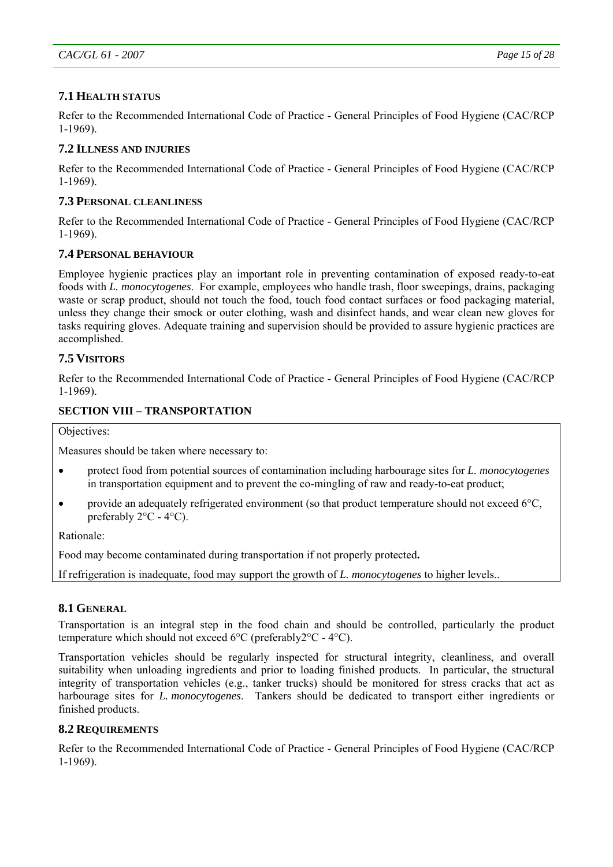# **7.1 HEALTH STATUS**

Refer to the Recommended International Code of Practice - General Principles of Food Hygiene (CAC/RCP 1-1969).

# **7.2 ILLNESS AND INJURIES**

Refer to the Recommended International Code of Practice - General Principles of Food Hygiene (CAC/RCP 1-1969).

# **7.3 PERSONAL CLEANLINESS**

Refer to the Recommended International Code of Practice - General Principles of Food Hygiene (CAC/RCP 1-1969).

# **7.4 PERSONAL BEHAVIOUR**

Employee hygienic practices play an important role in preventing contamination of exposed ready-to-eat foods with *L. monocytogenes*. For example, employees who handle trash, floor sweepings, drains, packaging waste or scrap product, should not touch the food, touch food contact surfaces or food packaging material, unless they change their smock or outer clothing, wash and disinfect hands, and wear clean new gloves for tasks requiring gloves. Adequate training and supervision should be provided to assure hygienic practices are accomplished.

# **7.5 VISITORS**

Refer to the Recommended International Code of Practice - General Principles of Food Hygiene (CAC/RCP 1-1969).

# **SECTION VIII – TRANSPORTATION**

Objectives:

Measures should be taken where necessary to:

- protect food from potential sources of contamination including harbourage sites for *L. monocytogenes* in transportation equipment and to prevent the co-mingling of raw and ready-to-eat product;
- provide an adequately refrigerated environment (so that product temperature should not exceed  $6^{\circ}$ C, preferably 2°C - 4°C).

Rationale:

Food may become contaminated during transportation if not properly protected**.** 

If refrigeration is inadequate, food may support the growth of *L. monocytogenes* to higher levels..

# **8.1 GENERAL**

Transportation is an integral step in the food chain and should be controlled, particularly the product temperature which should not exceed 6°C (preferably2°C - 4°C).

Transportation vehicles should be regularly inspected for structural integrity, cleanliness, and overall suitability when unloading ingredients and prior to loading finished products. In particular, the structural integrity of transportation vehicles (e.g., tanker trucks) should be monitored for stress cracks that act as harbourage sites for *L. monocytogenes*. Tankers should be dedicated to transport either ingredients or finished products.

# **8.2 REQUIREMENTS**

Refer to the Recommended International Code of Practice - General Principles of Food Hygiene (CAC/RCP 1-1969).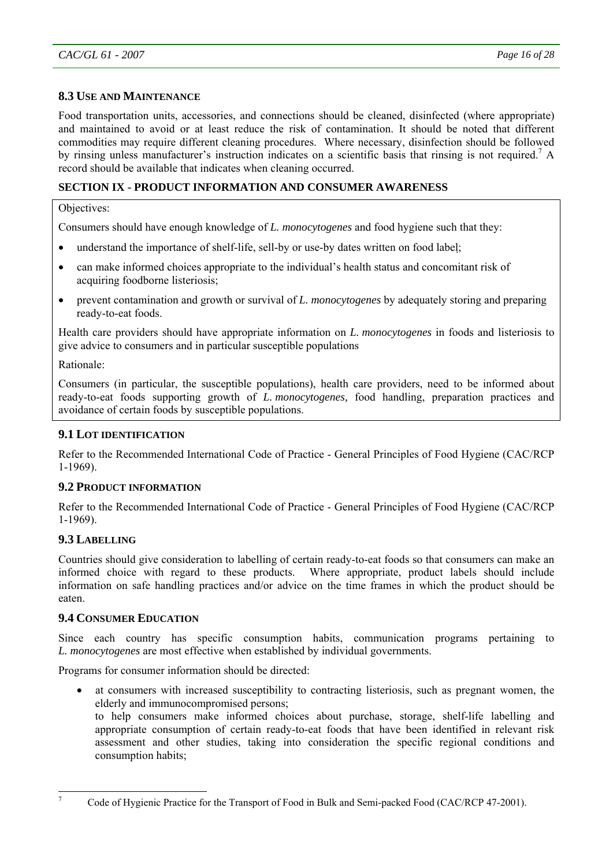# **8.3 USE AND MAINTENANCE**

Food transportation units, accessories, and connections should be cleaned, disinfected (where appropriate) and maintained to avoid or at least reduce the risk of contamination. It should be noted that different commodities may require different cleaning procedures. Where necessary, disinfection should be followed by rinsing unless manufacturer's instruction indicates on a scientific basis that rinsing is not required.<sup>7</sup> A record should be available that indicates when cleaning occurred.

# **SECTION IX - PRODUCT INFORMATION AND CONSUMER AWARENESS**

Objectives:

Consumers should have enough knowledge of *L. monocytogenes* and food hygiene such that they:

- understand the importance of shelf-life, sell-by or use-by dates written on food label;
- can make informed choices appropriate to the individual's health status and concomitant risk of acquiring foodborne listeriosis;
- prevent contamination and growth or survival of *L. monocytogenes* by adequately storing and preparing ready-to-eat foods.

Health care providers should have appropriate information on *L. monocytogenes* in foods and listeriosis to give advice to consumers and in particular susceptible populations

Rationale:

Consumers (in particular, the susceptible populations), health care providers, need to be informed about ready-to-eat foods supporting growth of *L. monocytogenes,* food handling, preparation practices and avoidance of certain foods by susceptible populations.

# **9.1 LOT IDENTIFICATION**

Refer to the Recommended International Code of Practice - General Principles of Food Hygiene (CAC/RCP 1-1969).

# **9.2 PRODUCT INFORMATION**

Refer to the Recommended International Code of Practice - General Principles of Food Hygiene (CAC/RCP 1-1969).

# **9.3 LABELLING**

Countries should give consideration to labelling of certain ready-to-eat foods so that consumers can make an informed choice with regard to these products. Where appropriate, product labels should include information on safe handling practices and/or advice on the time frames in which the product should be eaten.

# **9.4 CONSUMER EDUCATION**

Since each country has specific consumption habits, communication programs pertaining to *L. monocytogenes* are most effective when established by individual governments.

Programs for consumer information should be directed:

- at consumers with increased susceptibility to contracting listeriosis, such as pregnant women, the elderly and immunocompromised persons;
	- to help consumers make informed choices about purchase, storage, shelf-life labelling and appropriate consumption of certain ready-to-eat foods that have been identified in relevant risk assessment and other studies, taking into consideration the specific regional conditions and consumption habits;

<sup>-&</sup>lt;br>7

Code of Hygienic Practice for the Transport of Food in Bulk and Semi-packed Food (CAC/RCP 47-2001).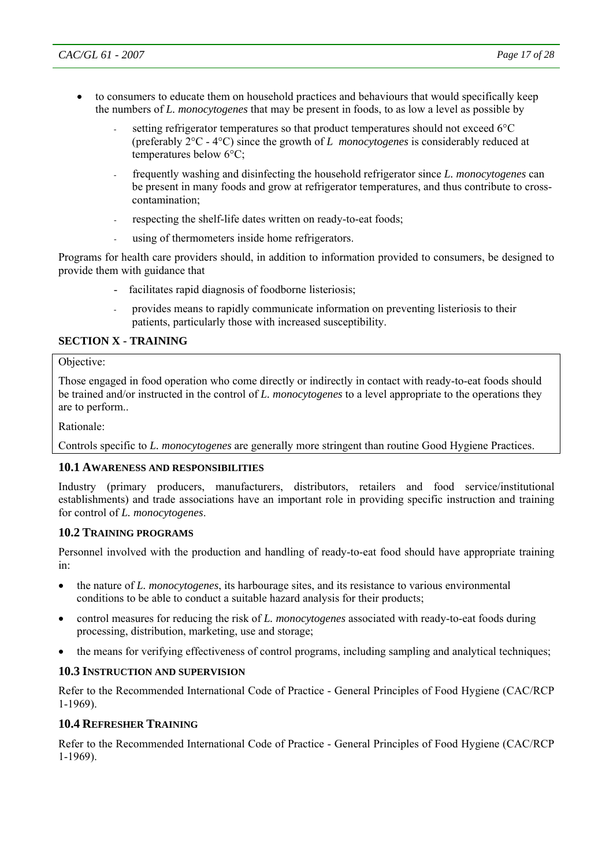- to consumers to educate them on household practices and behaviours that would specifically keep the numbers of *L. monocytogenes* that may be present in foods, to as low a level as possible by
	- setting refrigerator temperatures so that product temperatures should not exceed 6°C (preferably 2°C - 4°C) since the growth of *L monocytogenes* is considerably reduced at temperatures below 6°C;
	- frequently washing and disinfecting the household refrigerator since *L. monocytogenes* can be present in many foods and grow at refrigerator temperatures, and thus contribute to crosscontamination;
	- respecting the shelf-life dates written on ready-to-eat foods;
	- using of thermometers inside home refrigerators.

Programs for health care providers should, in addition to information provided to consumers, be designed to provide them with guidance that

- facilitates rapid diagnosis of foodborne listeriosis;
- provides means to rapidly communicate information on preventing listeriosis to their patients, particularly those with increased susceptibility.

# **SECTION X - TRAINING**

#### Objective:

Those engaged in food operation who come directly or indirectly in contact with ready-to-eat foods should be trained and/or instructed in the control of *L. monocytogenes* to a level appropriate to the operations they are to perform..

Rationale:

Controls specific to *L. monocytogenes* are generally more stringent than routine Good Hygiene Practices.

#### **10.1 AWARENESS AND RESPONSIBILITIES**

Industry (primary producers, manufacturers, distributors, retailers and food service/institutional establishments) and trade associations have an important role in providing specific instruction and training for control of *L. monocytogenes*.

#### **10.2 TRAINING PROGRAMS**

Personnel involved with the production and handling of ready-to-eat food should have appropriate training in:

- the nature of *L. monocytogenes*, its harbourage sites, and its resistance to various environmental conditions to be able to conduct a suitable hazard analysis for their products;
- control measures for reducing the risk of *L. monocytogenes* associated with ready-to-eat foods during processing, distribution, marketing, use and storage;
- the means for verifying effectiveness of control programs, including sampling and analytical techniques;

# **10.3 INSTRUCTION AND SUPERVISION**

Refer to the Recommended International Code of Practice - General Principles of Food Hygiene (CAC/RCP 1-1969).

# **10.4 REFRESHER TRAINING**

Refer to the Recommended International Code of Practice - General Principles of Food Hygiene (CAC/RCP 1-1969).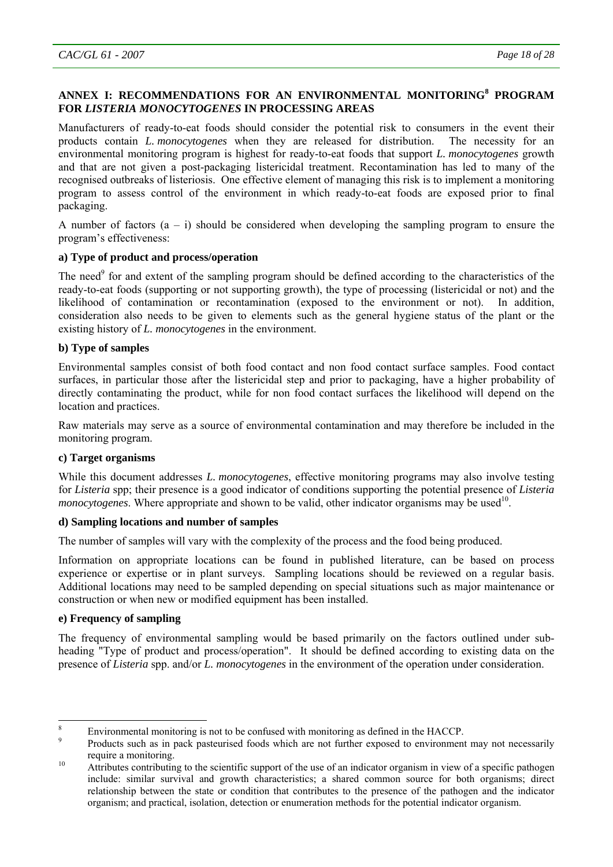# **ANNEX I: RECOMMENDATIONS FOR AN ENVIRONMENTAL MONITORING<sup>8</sup> PROGRAM FOR** *LISTERIA MONOCYTOGENES* **IN PROCESSING AREAS**

Manufacturers of ready-to-eat foods should consider the potential risk to consumers in the event their products contain *L. monocytogenes* when they are released for distribution. The necessity for an environmental monitoring program is highest for ready-to-eat foods that support *L. monocytogenes* growth and that are not given a post-packaging listericidal treatment. Recontamination has led to many of the recognised outbreaks of listeriosis. One effective element of managing this risk is to implement a monitoring program to assess control of the environment in which ready-to-eat foods are exposed prior to final packaging.

A number of factors  $(a - i)$  should be considered when developing the sampling program to ensure the program's effectiveness:

# **a) Type of product and process/operation**

The need<sup>9</sup> for and extent of the sampling program should be defined according to the characteristics of the ready-to-eat foods (supporting or not supporting growth), the type of processing (listericidal or not) and the likelihood of contamination or recontamination (exposed to the environment or not). In addition, consideration also needs to be given to elements such as the general hygiene status of the plant or the existing history of *L. monocytogenes* in the environment.

## **b) Type of samples**

Environmental samples consist of both food contact and non food contact surface samples. Food contact surfaces, in particular those after the listericidal step and prior to packaging, have a higher probability of directly contaminating the product, while for non food contact surfaces the likelihood will depend on the location and practices.

Raw materials may serve as a source of environmental contamination and may therefore be included in the monitoring program.

#### **c) Target organisms**

While this document addresses *L. monocytogenes*, effective monitoring programs may also involve testing for *Listeria* spp; their presence is a good indicator of conditions supporting the potential presence of *Listeria monocytogenes*. Where appropriate and shown to be valid, other indicator organisms may be used<sup>10</sup>.

#### **d) Sampling locations and number of samples**

The number of samples will vary with the complexity of the process and the food being produced.

Information on appropriate locations can be found in published literature, can be based on process experience or expertise or in plant surveys. Sampling locations should be reviewed on a regular basis. Additional locations may need to be sampled depending on special situations such as major maintenance or construction or when new or modified equipment has been installed.

#### **e) Frequency of sampling**

The frequency of environmental sampling would be based primarily on the factors outlined under subheading "Type of product and process/operation". It should be defined according to existing data on the presence of *Listeria* spp. and/or *L. monocytogenes* in the environment of the operation under consideration.

 8 Environmental monitoring is not to be confused with monitoring as defined in the HACCP.

<sup>9</sup> Products such as in pack pasteurised foods which are not further exposed to environment may not necessarily

require a monitoring.<br>Attributes contributing to the scientific support of the use of an indicator organism in view of a specific pathogen include: similar survival and growth characteristics; a shared common source for both organisms; direct relationship between the state or condition that contributes to the presence of the pathogen and the indicator organism; and practical, isolation, detection or enumeration methods for the potential indicator organism.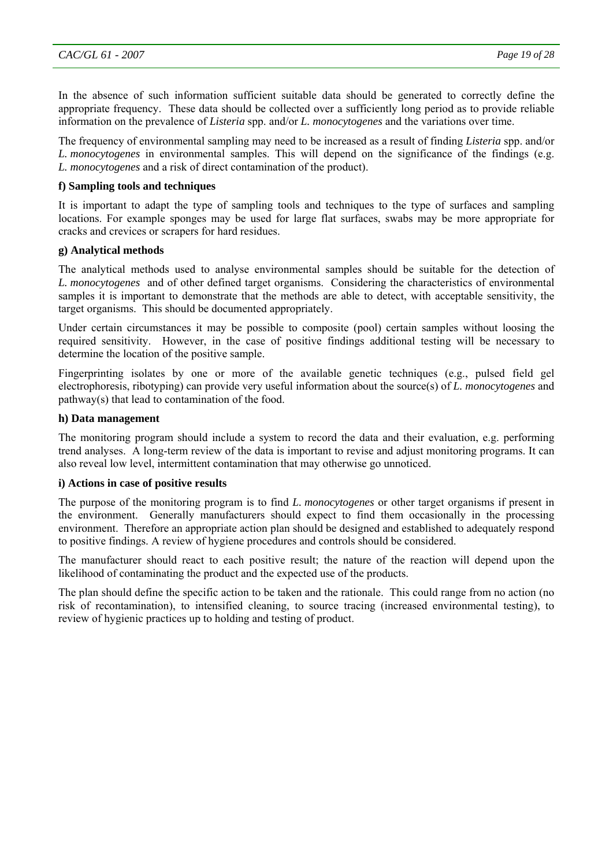In the absence of such information sufficient suitable data should be generated to correctly define the appropriate frequency. These data should be collected over a sufficiently long period as to provide reliable information on the prevalence of *Listeria* spp. and/or *L. monocytogenes* and the variations over time.

The frequency of environmental sampling may need to be increased as a result of finding *Listeria* spp. and/or *L. monocytogenes* in environmental samples. This will depend on the significance of the findings (e.g. *L. monocytogenes* and a risk of direct contamination of the product).

#### **f) Sampling tools and techniques**

It is important to adapt the type of sampling tools and techniques to the type of surfaces and sampling locations. For example sponges may be used for large flat surfaces, swabs may be more appropriate for cracks and crevices or scrapers for hard residues.

### **g) Analytical methods**

The analytical methods used to analyse environmental samples should be suitable for the detection of *L. monocytogenes* and of other defined target organisms. Considering the characteristics of environmental samples it is important to demonstrate that the methods are able to detect, with acceptable sensitivity, the target organisms. This should be documented appropriately.

Under certain circumstances it may be possible to composite (pool) certain samples without loosing the required sensitivity. However, in the case of positive findings additional testing will be necessary to determine the location of the positive sample.

Fingerprinting isolates by one or more of the available genetic techniques (e.g., pulsed field gel electrophoresis, ribotyping) can provide very useful information about the source(s) of *L. monocytogenes* and pathway(s) that lead to contamination of the food.

#### **h) Data management**

The monitoring program should include a system to record the data and their evaluation, e.g. performing trend analyses. A long-term review of the data is important to revise and adjust monitoring programs. It can also reveal low level, intermittent contamination that may otherwise go unnoticed.

#### **i) Actions in case of positive results**

The purpose of the monitoring program is to find *L. monocytogenes* or other target organisms if present in the environment. Generally manufacturers should expect to find them occasionally in the processing environment. Therefore an appropriate action plan should be designed and established to adequately respond to positive findings. A review of hygiene procedures and controls should be considered.

The manufacturer should react to each positive result; the nature of the reaction will depend upon the likelihood of contaminating the product and the expected use of the products.

The plan should define the specific action to be taken and the rationale. This could range from no action (no risk of recontamination), to intensified cleaning, to source tracing (increased environmental testing), to review of hygienic practices up to holding and testing of product.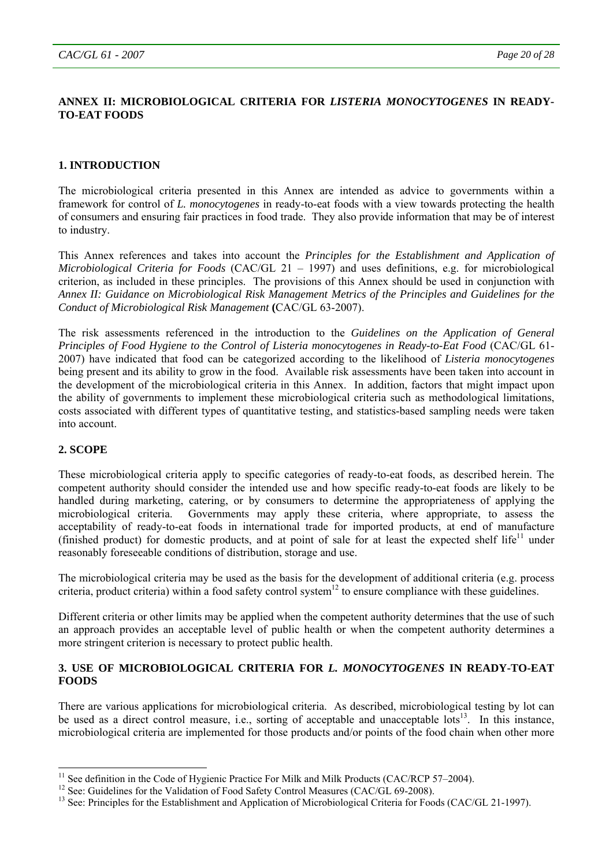## **ANNEX II: MICROBIOLOGICAL CRITERIA FOR** *LISTERIA MONOCYTOGENES* **IN READY-TO-EAT FOODS**

## **1. INTRODUCTION**

The microbiological criteria presented in this Annex are intended as advice to governments within a framework for control of *L. monocytogenes* in ready-to-eat foods with a view towards protecting the health of consumers and ensuring fair practices in food trade. They also provide information that may be of interest to industry.

This Annex references and takes into account the *Principles for the Establishment and Application of Microbiological Criteria for Foods* (CAC/GL 21 – 1997) and uses definitions, e.g. for microbiological criterion, as included in these principles. The provisions of this Annex should be used in conjunction with *Annex II: Guidance on Microbiological Risk Management Metrics of the Principles and Guidelines for the Conduct of Microbiological Risk Management* **(**CAC/GL 63-2007).

The risk assessments referenced in the introduction to the *Guidelines on the Application of General Principles of Food Hygiene to the Control of Listeria monocytogenes in Ready-to-Eat Food* (CAC/GL 61- 2007) have indicated that food can be categorized according to the likelihood of *Listeria monocytogenes*  being present and its ability to grow in the food. Available risk assessments have been taken into account in the development of the microbiological criteria in this Annex. In addition, factors that might impact upon the ability of governments to implement these microbiological criteria such as methodological limitations, costs associated with different types of quantitative testing, and statistics-based sampling needs were taken into account.

#### **2. SCOPE**

l

These microbiological criteria apply to specific categories of ready-to-eat foods, as described herein. The competent authority should consider the intended use and how specific ready-to-eat foods are likely to be handled during marketing, catering, or by consumers to determine the appropriateness of applying the microbiological criteria.Governments may apply these criteria, where appropriate, to assess the acceptability of ready-to-eat foods in international trade for imported products, at end of manufacture (finished product) for domestic products, and at point of sale for at least the expected shelf life<sup>11</sup> under reasonably foreseeable conditions of distribution, storage and use.

The microbiological criteria may be used as the basis for the development of additional criteria (e.g. process criteria, product criteria) within a food safety control system $^{12}$  to ensure compliance with these guidelines.

Different criteria or other limits may be applied when the competent authority determines that the use of such an approach provides an acceptable level of public health or when the competent authority determines a more stringent criterion is necessary to protect public health.

#### **3. USE OF MICROBIOLOGICAL CRITERIA FOR** *L. MONOCYTOGENES* **IN READY-TO-EAT FOODS**

There are various applications for microbiological criteria. As described, microbiological testing by lot can be used as a direct control measure, i.e., sorting of acceptable and unacceptable lots<sup>13</sup>. In this instance, microbiological criteria are implemented for those products and/or points of the food chain when other more

 $11$  See definition in the Code of Hygienic Practice For Milk and Milk Products (CAC/RCP 57-2004).

<sup>&</sup>lt;sup>12</sup> See: Guidelines for the Validation of Food Safety Control Measures (CAC/GL 69-2008).<br><sup>13</sup> See: Principles for the Establishment and Application of Microbiological Criteria for Foods (CAC/GL 21-1997).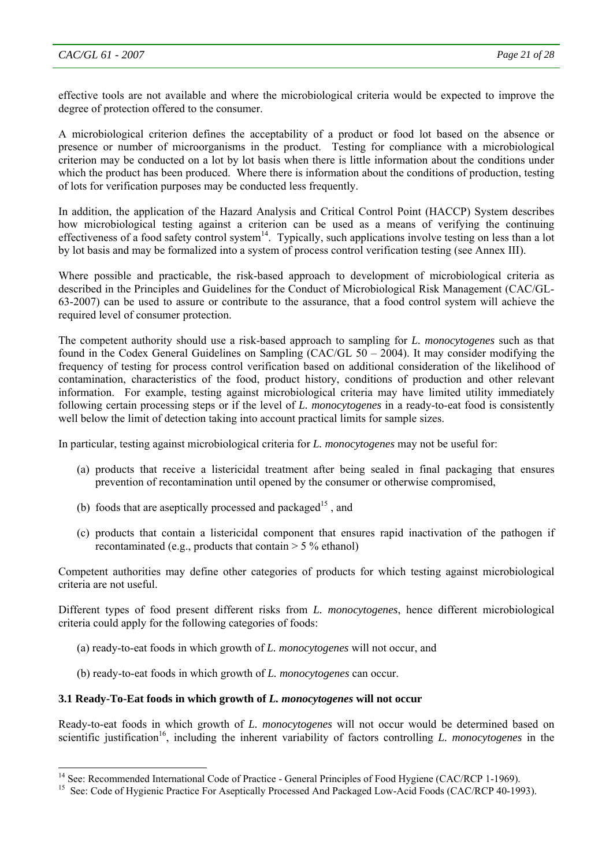l

effective tools are not available and where the microbiological criteria would be expected to improve the degree of protection offered to the consumer.

A microbiological criterion defines the acceptability of a product or food lot based on the absence or presence or number of microorganisms in the product. Testing for compliance with a microbiological criterion may be conducted on a lot by lot basis when there is little information about the conditions under which the product has been produced. Where there is information about the conditions of production, testing of lots for verification purposes may be conducted less frequently.

In addition, the application of the Hazard Analysis and Critical Control Point (HACCP) System describes how microbiological testing against a criterion can be used as a means of verifying the continuing effectiveness of a food safety control system<sup>14</sup>. Typically, such applications involve testing on less than a lot by lot basis and may be formalized into a system of process control verification testing (see Annex III).

Where possible and practicable, the risk-based approach to development of microbiological criteria as described in the Principles and Guidelines for the Conduct of Microbiological Risk Management (CAC/GL-63-2007) can be used to assure or contribute to the assurance, that a food control system will achieve the required level of consumer protection.

The competent authority should use a risk-based approach to sampling for *L. monocytogenes* such as that found in the Codex General Guidelines on Sampling (CAC/GL 50 – 2004). It may consider modifying the frequency of testing for process control verification based on additional consideration of the likelihood of contamination, characteristics of the food, product history, conditions of production and other relevant information. For example, testing against microbiological criteria may have limited utility immediately following certain processing steps or if the level of *L. monocytogenes* in a ready-to-eat food is consistently well below the limit of detection taking into account practical limits for sample sizes.

In particular, testing against microbiological criteria for *L. monocytogenes* may not be useful for:

- (a) products that receive a listericidal treatment after being sealed in final packaging that ensures prevention of recontamination until opened by the consumer or otherwise compromised,
- (b) foods that are aseptically processed and packaged<sup>15</sup>, and
- (c) products that contain a listericidal component that ensures rapid inactivation of the pathogen if recontaminated (e.g., products that contain  $> 5\%$  ethanol)

Competent authorities may define other categories of products for which testing against microbiological criteria are not useful.

Different types of food present different risks from *L. monocytogenes*, hence different microbiological criteria could apply for the following categories of foods:

- (a) ready-to-eat foods in which growth of *L. monocytogenes* will not occur, and
- (b) ready-to-eat foods in which growth of *L. monocytogenes* can occur.

#### **3.1 Ready-To-Eat foods in which growth of** *L. monocytogenes* **will not occur**

Ready-to-eat foods in which growth of *L. monocytogenes* will not occur would be determined based on scientific justification<sup>16</sup>, including the inherent variability of factors controlling *L. monocytogenes* in the

<sup>&</sup>lt;sup>14</sup> See: Recommended International Code of Practice - General Principles of Food Hygiene (CAC/RCP 1-1969).

<sup>&</sup>lt;sup>15</sup> See: Code of Hygienic Practice For Aseptically Processed And Packaged Low-Acid Foods (CAC/RCP 40-1993).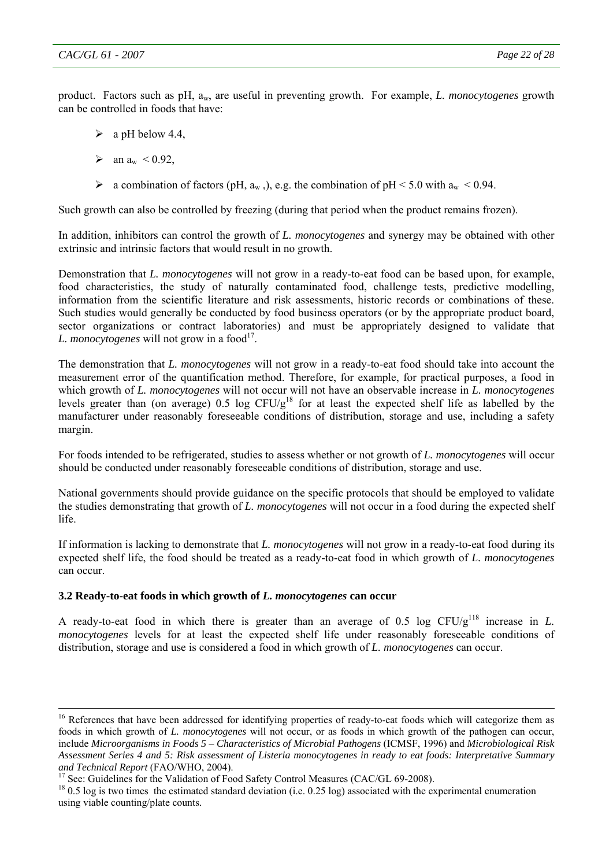product. Factors such as pH, aw, are useful in preventing growth. For example, *L. monocytogenes* growth can be controlled in foods that have:

- $\geq$  a pH below 4.4
- $\blacktriangleright$  an a<sub>w</sub> < 0.92,
- $\triangleright$  a combination of factors (pH, a<sub>w</sub>,), e.g. the combination of pH < 5.0 with a<sub>w</sub> < 0.94.

Such growth can also be controlled by freezing (during that period when the product remains frozen).

In addition, inhibitors can control the growth of *L. monocytogenes* and synergy may be obtained with other extrinsic and intrinsic factors that would result in no growth.

Demonstration that *L. monocytogenes* will not grow in a ready-to-eat food can be based upon, for example, food characteristics, the study of naturally contaminated food, challenge tests, predictive modelling, information from the scientific literature and risk assessments, historic records or combinations of these. Such studies would generally be conducted by food business operators (or by the appropriate product board, sector organizations or contract laboratories) and must be appropriately designed to validate that *L. monocytogenes* will not grow in a food<sup>17</sup>.

The demonstration that *L. monocytogenes* will not grow in a ready-to-eat food should take into account the measurement error of the quantification method. Therefore, for example, for practical purposes, a food in which growth of *L. monocytogenes* will not occur will not have an observable increase in *L. monocytogenes* levels greater than (on average) 0.5 log  $CFU/g^{18}$  for at least the expected shelf life as labelled by the manufacturer under reasonably foreseeable conditions of distribution, storage and use, including a safety margin.

For foods intended to be refrigerated, studies to assess whether or not growth of *L. monocytogenes* will occur should be conducted under reasonably foreseeable conditions of distribution, storage and use.

National governments should provide guidance on the specific protocols that should be employed to validate the studies demonstrating that growth of *L. monocytogenes* will not occur in a food during the expected shelf life.

If information is lacking to demonstrate that *L. monocytogenes* will not grow in a ready-to-eat food during its expected shelf life, the food should be treated as a ready-to-eat food in which growth of *L. monocytogenes*  can occur.

#### **3.2 Ready-to-eat foods in which growth of** *L. monocytogenes* **can occur**

A ready-to-eat food in which there is greater than an average of 0.5 log  $CFU/g^{118}$  increase in *L*. *monocytogenes* levels for at least the expected shelf life under reasonably foreseeable conditions of distribution, storage and use is considered a food in which growth of *L. monocytogenes* can occur.

<sup>&</sup>lt;sup>16</sup> References that have been addressed for identifying properties of ready-to-eat foods which will categorize them as foods in which growth of *L. monocytogenes* will not occur, or as foods in which growth of the pathogen can occur, include *Microorganisms in Foods 5 – Characteristics of Microbial Pathogens* (ICMSF, 1996) and *Microbiological Risk Assessment Series 4 and 5: Risk assessment of Listeria monocytogenes in ready to eat foods: Interpretative Summary*  and Technical Report (FAO/WHO, 2004).<br><sup>17</sup> See: Guidelines for the Validation of Food Safety Control Measures (CAC/GL 69-2008).<br><sup>18</sup> 0.5 log is two times the estimated standard deviation (i.e. 0.25 log) associated with th

using viable counting/plate counts.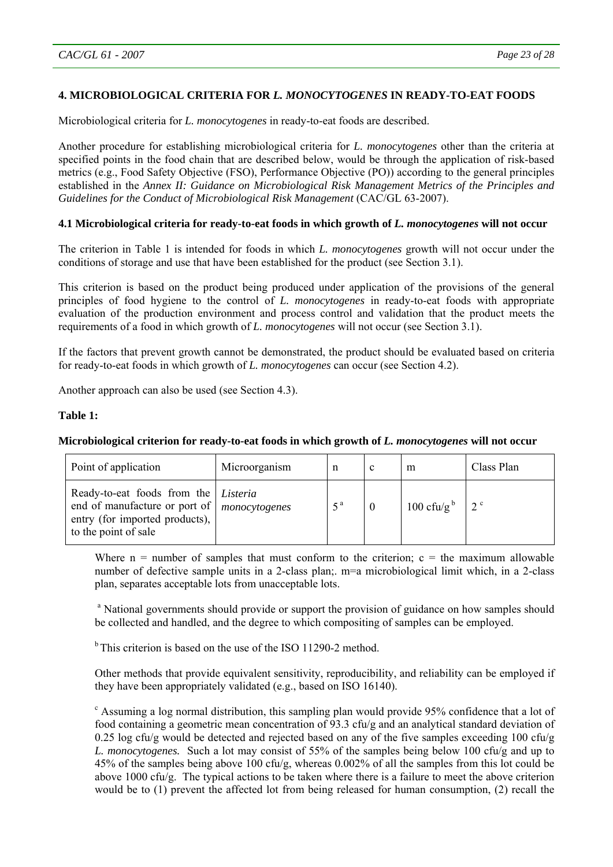# **4. MICROBIOLOGICAL CRITERIA FOR** *L. MONOCYTOGENES* **IN READY-TO-EAT FOODS**

Microbiological criteria for *L. monocytogenes* in ready-to-eat foods are described.

Another procedure for establishing microbiological criteria for *L. monocytogenes* other than the criteria at specified points in the food chain that are described below, would be through the application of risk-based metrics (e.g., Food Safety Objective (FSO), Performance Objective (PO)) according to the general principles established in the *Annex II: Guidance on Microbiological Risk Management Metrics of the Principles and*  Guidelines for the Conduct of Microbiological Risk Management (CAC/GL 63-2007).

## **4.1 Microbiological criteria for ready-to-eat foods in which growth of** *L. monocytogenes* **will not occur**

The criterion in Table 1 is intended for foods in which *L. monocytogenes* growth will not occur under the conditions of storage and use that have been established for the product (see Section 3.1).

This criterion is based on the product being produced under application of the provisions of the general principles of food hygiene to the control of *L. monocytogenes* in ready-to-eat foods with appropriate evaluation of the production environment and process control and validation that the product meets the requirements of a food in which growth of *L. monocytogenes* will not occur (see Section 3.1).

If the factors that prevent growth cannot be demonstrated, the product should be evaluated based on criteria for ready-to-eat foods in which growth of *L. monocytogenes* can occur (see Section 4.2).

Another approach can also be used (see Section 4.3).

#### **Table 1:**

# **Microbiological criterion for ready-to-eat foods in which growth of** *L. monocytogenes* **will not occur**

| Point of application                                                                                                                                          | Microorganism | n                | c | m                      | Class Plan  |
|---------------------------------------------------------------------------------------------------------------------------------------------------------------|---------------|------------------|---|------------------------|-------------|
| Ready-to-eat foods from the <i>Listeria</i><br>end of manufacture or port of   <i>monocytogenes</i><br>entry (for imported products),<br>to the point of sale |               | $5^{\mathrm{a}}$ |   | 100 cfu/g <sup>b</sup> | $2^{\circ}$ |

Where  $n =$  number of samples that must conform to the criterion;  $c =$  the maximum allowable number of defective sample units in a 2-class plan;. m=a microbiological limit which, in a 2-class plan, separates acceptable lots from unacceptable lots.

<sup>a</sup> National governments should provide or support the provision of guidance on how samples should be collected and handled, and the degree to which compositing of samples can be employed.

 $<sup>b</sup>$  This criterion is based on the use of the ISO 11290-2 method.</sup>

Other methods that provide equivalent sensitivity, reproducibility, and reliability can be employed if they have been appropriately validated (e.g., based on ISO 16140).

<sup>c</sup> Assuming a log normal distribution, this sampling plan would provide 95% confidence that a lot of food containing a geometric mean concentration of 93.3 cfu/g and an analytical standard deviation of 0.25 log cfu/g would be detected and rejected based on any of the five samples exceeding 100 cfu/g *L. monocytogenes.*Such a lot may consist of 55% of the samples being below 100 cfu/g and up to 45% of the samples being above 100 cfu/g, whereas 0.002% of all the samples from this lot could be above 1000 cfu/g.The typical actions to be taken where there is a failure to meet the above criterion would be to (1) prevent the affected lot from being released for human consumption, (2) recall the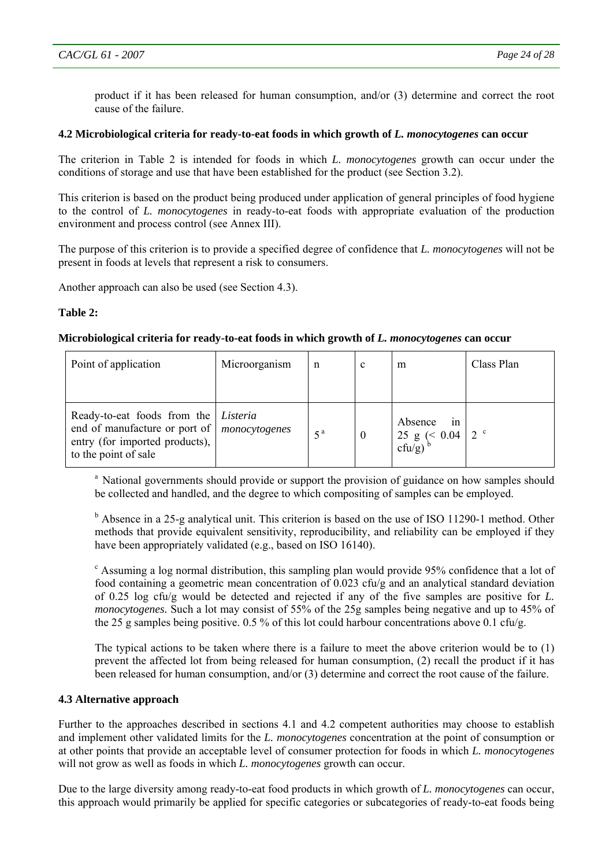product if it has been released for human consumption, and/or (3) determine and correct the root cause of the failure.

### **4.2 Microbiological criteria for ready-to-eat foods in which growth of** *L. monocytogenes* **can occur**

The criterion in Table 2 is intended for foods in which *L. monocytogenes* growth can occur under the conditions of storage and use that have been established for the product (see Section 3.2).

This criterion is based on the product being produced under application of general principles of food hygiene to the control of *L. monocytogenes* in ready-to-eat foods with appropriate evaluation of the production environment and process control (see Annex III).

The purpose of this criterion is to provide a specified degree of confidence that *L. monocytogenes* will not be present in foods at levels that represent a risk to consumers.

Another approach can also be used (see Section 4.3).

## **Table 2:**

## **Microbiological criteria for ready-to-eat foods in which growth of** *L. monocytogenes* **can occur**

| Point of application                                                                                                                   | Microorganism | n                | c        | m                                                       | Class Plan  |
|----------------------------------------------------------------------------------------------------------------------------------------|---------------|------------------|----------|---------------------------------------------------------|-------------|
| Ready-to-eat foods from the <i>Listeria</i><br>end of manufacture or port of<br>entry (for imported products),<br>to the point of sale | monocytogenes | $5^{\mathrm{a}}$ | $\theta$ | Absence<br>1n<br>$25 g \le 0.04$<br>cfu/g) <sup>b</sup> | $2^{\circ}$ |

<sup>a</sup> National governments should provide or support the provision of guidance on how samples should be collected and handled, and the degree to which compositing of samples can be employed.

<sup>b</sup> Absence in a 25-g analytical unit. This criterion is based on the use of ISO 11290-1 method. Other methods that provide equivalent sensitivity, reproducibility, and reliability can be employed if they have been appropriately validated (e.g., based on ISO 16140).

<sup>c</sup> Assuming a log normal distribution, this sampling plan would provide 95% confidence that a lot of food containing a geometric mean concentration of 0.023 cfu/g and an analytical standard deviation of 0.25 log cfu/g would be detected and rejected if any of the five samples are positive for *L. monocytogenes.* Such a lot may consist of 55% of the 25g samples being negative and up to 45% of the 25 g samples being positive. 0.5 % of this lot could harbour concentrations above 0.1 cfu/g.

The typical actions to be taken where there is a failure to meet the above criterion would be to (1) prevent the affected lot from being released for human consumption, (2) recall the product if it has been released for human consumption, and/or (3) determine and correct the root cause of the failure.

#### **4.3 Alternative approach**

Further to the approaches described in sections 4.1 and 4.2 competent authorities may choose to establish and implement other validated limits for the *L. monocytogenes* concentration at the point of consumption or at other points that provide an acceptable level of consumer protection for foods in which *L. monocytogenes* will not grow as well as foods in which *L. monocytogenes* growth can occur.

Due to the large diversity among ready-to-eat food products in which growth of *L. monocytogenes* can occur, this approach would primarily be applied for specific categories or subcategories of ready-to-eat foods being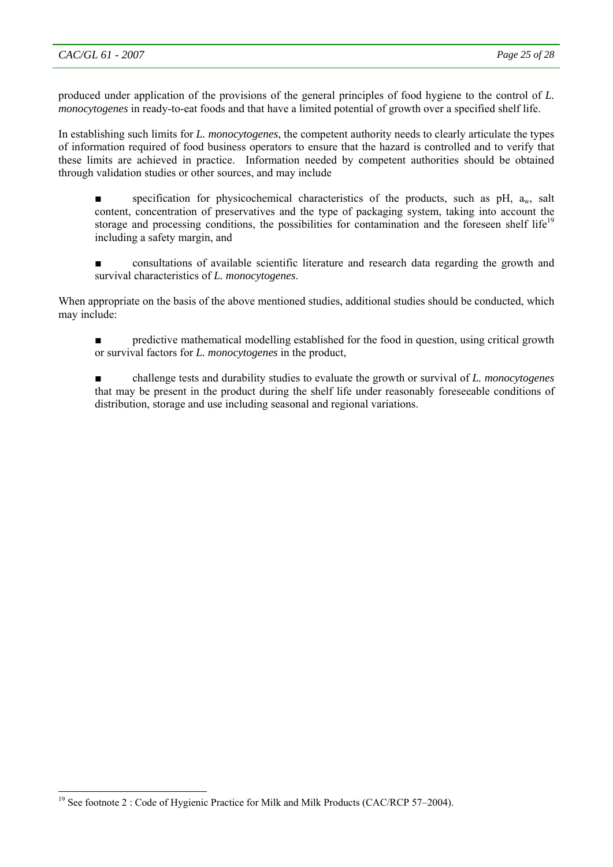l

produced under application of the provisions of the general principles of food hygiene to the control of *L. monocytogenes* in ready-to-eat foods and that have a limited potential of growth over a specified shelf life.

In establishing such limits for *L. monocytogenes*, the competent authority needs to clearly articulate the types of information required of food business operators to ensure that the hazard is controlled and to verify that these limits are achieved in practice. Information needed by competent authorities should be obtained through validation studies or other sources, and may include

specification for physicochemical characteristics of the products, such as  $pH$ ,  $a_w$ , salt content, concentration of preservatives and the type of packaging system, taking into account the storage and processing conditions, the possibilities for contamination and the foreseen shelf life<sup>19</sup> including a safety margin, and

consultations of available scientific literature and research data regarding the growth and survival characteristics of *L. monocytogenes*.

When appropriate on the basis of the above mentioned studies, additional studies should be conducted, which may include:

predictive mathematical modelling established for the food in question, using critical growth or survival factors for *L. monocytogenes* in the product,

■ challenge tests and durability studies to evaluate the growth or survival of *L. monocytogenes* that may be present in the product during the shelf life under reasonably foreseeable conditions of distribution, storage and use including seasonal and regional variations.

<sup>&</sup>lt;sup>19</sup> See footnote 2 : Code of Hygienic Practice for Milk and Milk Products (CAC/RCP 57-2004).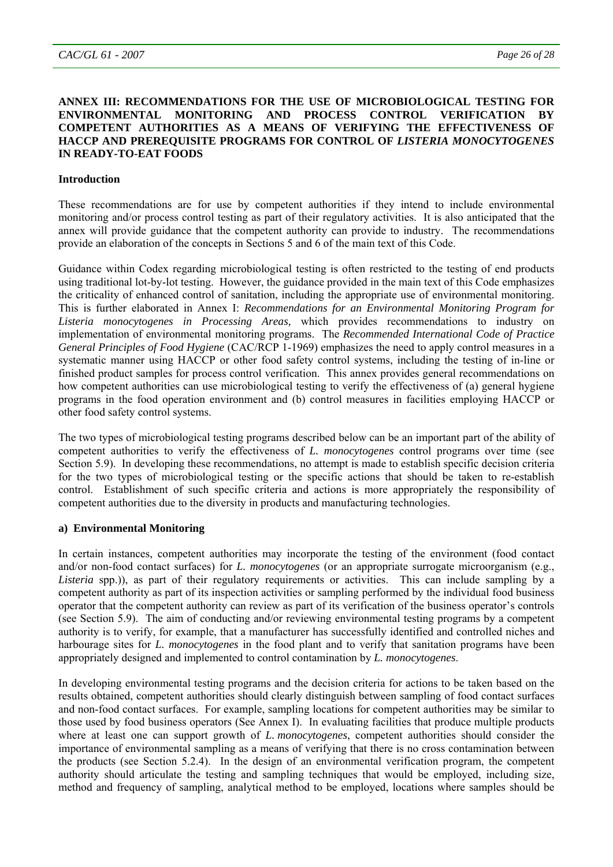#### **ANNEX III: RECOMMENDATIONS FOR THE USE OF MICROBIOLOGICAL TESTING FOR ENVIRONMENTAL MONITORING AND PROCESS CONTROL VERIFICATION BY COMPETENT AUTHORITIES AS A MEANS OF VERIFYING THE EFFECTIVENESS OF HACCP AND PREREQUISITE PROGRAMS FOR CONTROL OF** *LISTERIA MONOCYTOGENES* **IN READY-TO-EAT FOODS**

#### **Introduction**

These recommendations are for use by competent authorities if they intend to include environmental monitoring and/or process control testing as part of their regulatory activities. It is also anticipated that the annex will provide guidance that the competent authority can provide to industry. The recommendations provide an elaboration of the concepts in Sections 5 and 6 of the main text of this Code.

Guidance within Codex regarding microbiological testing is often restricted to the testing of end products using traditional lot-by-lot testing. However, the guidance provided in the main text of this Code emphasizes the criticality of enhanced control of sanitation, including the appropriate use of environmental monitoring. This is further elaborated in Annex I: *Recommendations for an Environmental Monitoring Program for Listeria monocytogenes in Processing Areas,* which provides recommendations to industry on implementation of environmental monitoring programs. The *Recommended International Code of Practice General Principles of Food Hygiene* (CAC/RCP 1-1969) emphasizes the need to apply control measures in a systematic manner using HACCP or other food safety control systems, including the testing of in-line or finished product samples for process control verification. This annex provides general recommendations on how competent authorities can use microbiological testing to verify the effectiveness of (a) general hygiene programs in the food operation environment and (b) control measures in facilities employing HACCP or other food safety control systems.

The two types of microbiological testing programs described below can be an important part of the ability of competent authorities to verify the effectiveness of *L. monocytogenes* control programs over time (see Section 5.9). In developing these recommendations, no attempt is made to establish specific decision criteria for the two types of microbiological testing or the specific actions that should be taken to re-establish control. Establishment of such specific criteria and actions is more appropriately the responsibility of competent authorities due to the diversity in products and manufacturing technologies.

#### **a) Environmental Monitoring**

In certain instances, competent authorities may incorporate the testing of the environment (food contact and/or non-food contact surfaces) for *L. monocytogenes* (or an appropriate surrogate microorganism (e.g., *Listeria* spp.)), as part of their regulatory requirements or activities. This can include sampling by a competent authority as part of its inspection activities or sampling performed by the individual food business operator that the competent authority can review as part of its verification of the business operator's controls (see Section 5.9). The aim of conducting and/or reviewing environmental testing programs by a competent authority is to verify, for example, that a manufacturer has successfully identified and controlled niches and harbourage sites for *L. monocytogenes* in the food plant and to verify that sanitation programs have been appropriately designed and implemented to control contamination by *L. monocytogenes*.

In developing environmental testing programs and the decision criteria for actions to be taken based on the results obtained, competent authorities should clearly distinguish between sampling of food contact surfaces and non-food contact surfaces. For example, sampling locations for competent authorities may be similar to those used by food business operators (See Annex I). In evaluating facilities that produce multiple products where at least one can support growth of *L. monocytogenes*, competent authorities should consider the importance of environmental sampling as a means of verifying that there is no cross contamination between the products (see Section 5.2.4). In the design of an environmental verification program, the competent authority should articulate the testing and sampling techniques that would be employed, including size, method and frequency of sampling, analytical method to be employed, locations where samples should be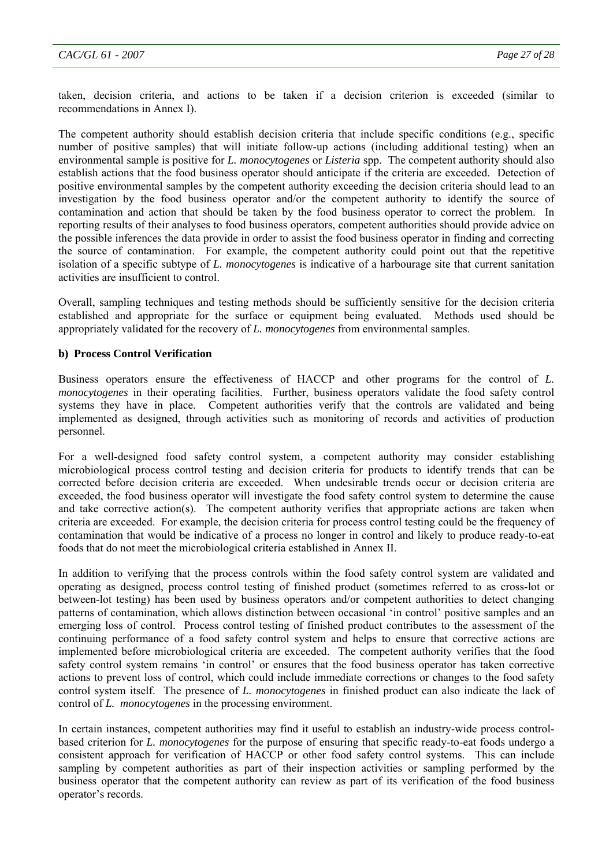taken, decision criteria, and actions to be taken if a decision criterion is exceeded (similar to recommendations in Annex I).

The competent authority should establish decision criteria that include specific conditions (e.g., specific number of positive samples) that will initiate follow-up actions (including additional testing) when an environmental sample is positive for *L. monocytogenes* or *Listeria* spp. The competent authority should also establish actions that the food business operator should anticipate if the criteria are exceeded. Detection of positive environmental samples by the competent authority exceeding the decision criteria should lead to an investigation by the food business operator and/or the competent authority to identify the source of contamination and action that should be taken by the food business operator to correct the problem. In reporting results of their analyses to food business operators, competent authorities should provide advice on the possible inferences the data provide in order to assist the food business operator in finding and correcting the source of contamination. For example, the competent authority could point out that the repetitive isolation of a specific subtype of *L. monocytogenes* is indicative of a harbourage site that current sanitation activities are insufficient to control.

Overall, sampling techniques and testing methods should be sufficiently sensitive for the decision criteria established and appropriate for the surface or equipment being evaluated. Methods used should be appropriately validated for the recovery of *L. monocytogenes* from environmental samples.

#### **b) Process Control Verification**

Business operators ensure the effectiveness of HACCP and other programs for the control of *L. monocytogenes* in their operating facilities. Further, business operators validate the food safety control systems they have in place. Competent authorities verify that the controls are validated and being implemented as designed, through activities such as monitoring of records and activities of production personnel.

For a well-designed food safety control system, a competent authority may consider establishing microbiological process control testing and decision criteria for products to identify trends that can be corrected before decision criteria are exceeded. When undesirable trends occur or decision criteria are exceeded, the food business operator will investigate the food safety control system to determine the cause and take corrective action(s). The competent authority verifies that appropriate actions are taken when criteria are exceeded. For example, the decision criteria for process control testing could be the frequency of contamination that would be indicative of a process no longer in control and likely to produce ready-to-eat foods that do not meet the microbiological criteria established in Annex II.

In addition to verifying that the process controls within the food safety control system are validated and operating as designed, process control testing of finished product (sometimes referred to as cross-lot or between-lot testing) has been used by business operators and/or competent authorities to detect changing patterns of contamination, which allows distinction between occasional 'in control' positive samples and an emerging loss of control. Process control testing of finished product contributes to the assessment of the continuing performance of a food safety control system and helps to ensure that corrective actions are implemented before microbiological criteria are exceeded. The competent authority verifies that the food safety control system remains 'in control' or ensures that the food business operator has taken corrective actions to prevent loss of control, which could include immediate corrections or changes to the food safety control system itself. The presence of *L. monocytogenes* in finished product can also indicate the lack of control of *L. monocytogenes* in the processing environment.

In certain instances, competent authorities may find it useful to establish an industry-wide process controlbased criterion for *L. monocytogenes* for the purpose of ensuring that specific ready-to-eat foods undergo a consistent approach for verification of HACCP or other food safety control systems. This can include sampling by competent authorities as part of their inspection activities or sampling performed by the business operator that the competent authority can review as part of its verification of the food business operator's records.